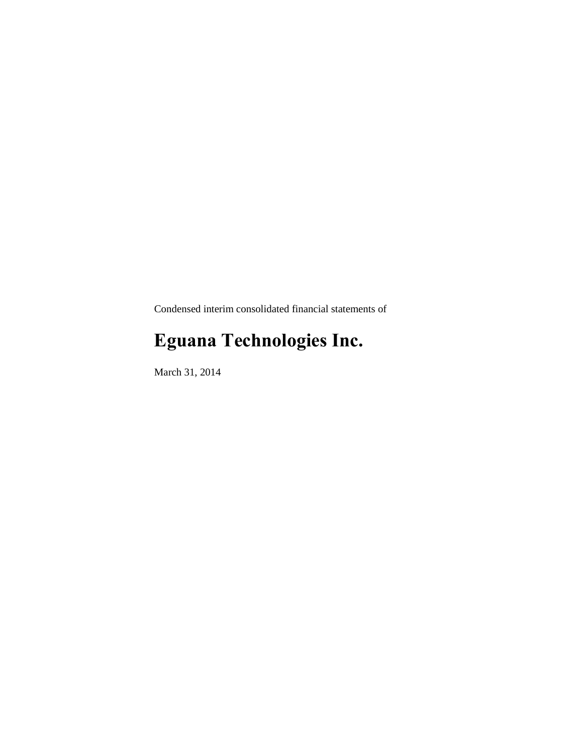Condensed interim consolidated financial statements of

# **Eguana Technologies Inc.**

March 31, 2014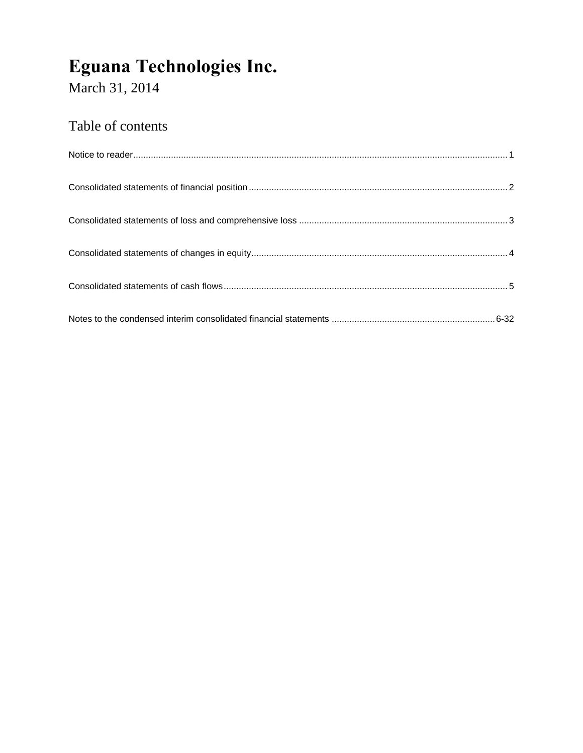March 31, 2014

# Table of contents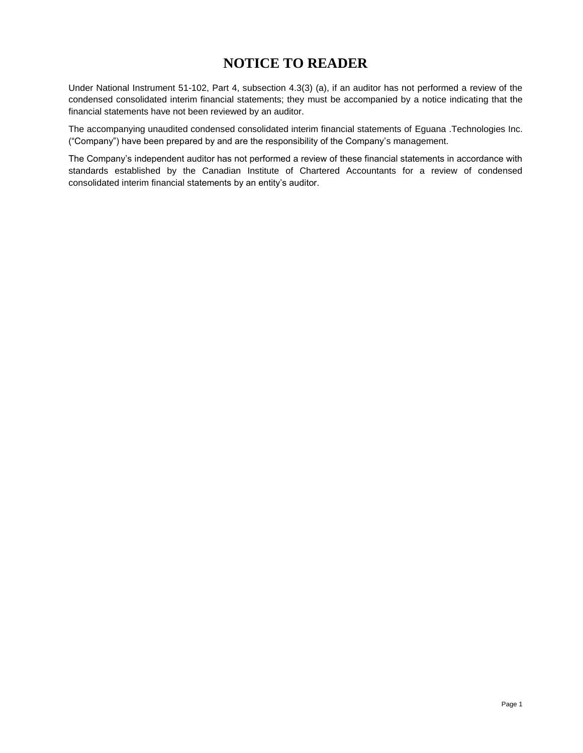# **NOTICE TO READER**

Under National Instrument 51-102, Part 4, subsection 4.3(3) (a), if an auditor has not performed a review of the condensed consolidated interim financial statements; they must be accompanied by a notice indicating that the financial statements have not been reviewed by an auditor.

The accompanying unaudited condensed consolidated interim financial statements of Eguana .Technologies Inc. ("Company") have been prepared by and are the responsibility of the Company's management.

The Company's independent auditor has not performed a review of these financial statements in accordance with standards established by the Canadian Institute of Chartered Accountants for a review of condensed consolidated interim financial statements by an entity's auditor.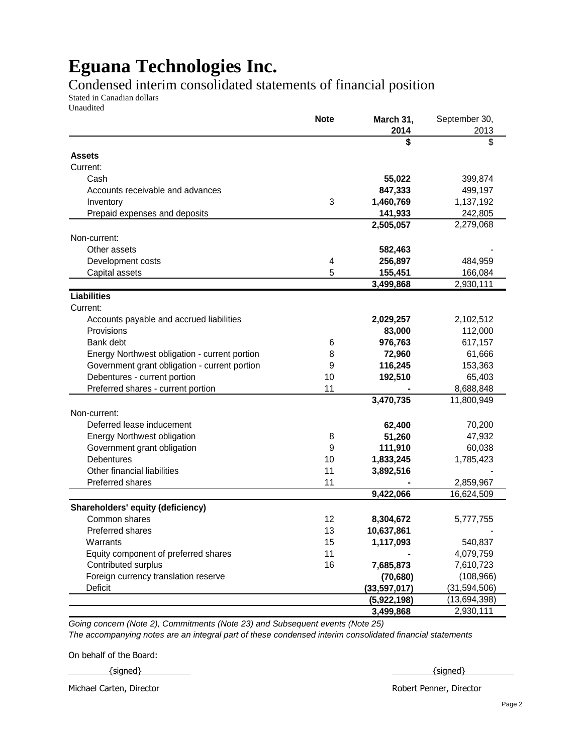Condensed interim consolidated statements of financial position

Stated in Canadian dollars Unaudited

| \$<br>\$<br><b>Assets</b><br>Current:<br>55,022<br>Cash<br>399,874<br>Accounts receivable and advances<br>847,333<br>499,197<br>3<br>1,460,769<br>1,137,192<br>Inventory<br>141,933<br>242,805<br>Prepaid expenses and deposits<br>2,505,057<br>2,279,068<br>Non-current:<br>Other assets<br>582,463<br>Development costs<br>256,897<br>484,959<br>4<br>5<br>155,451<br>166,084<br>Capital assets<br>3,499,868<br>2,930,111<br><b>Liabilities</b><br>Current:<br>Accounts payable and accrued liabilities<br>2,029,257<br>2,102,512<br>Provisions<br>83,000<br>112,000<br>Bank debt<br>976,763<br>617,157<br>6<br>72,960<br>61,666<br>Energy Northwest obligation - current portion<br>8<br>Government grant obligation - current portion<br>9<br>116,245<br>153,363<br>Debentures - current portion<br>10<br>192,510<br>65,403<br>Preferred shares - current portion<br>11<br>8,688,848<br>3,470,735<br>11,800,949<br>Non-current:<br>Deferred lease inducement<br>62,400<br>70,200<br><b>Energy Northwest obligation</b><br>51,260<br>47,932<br>8<br>9<br>Government grant obligation<br>111,910<br>60,038<br><b>Debentures</b><br>10<br>1,833,245<br>1,785,423<br>Other financial liabilities<br>11<br>3,892,516<br>11<br>Preferred shares<br>2,859,967<br>9,422,066<br>16,624,509<br>Shareholders' equity (deficiency)<br>Common shares<br>12<br>8,304,672<br>5,777,755<br>Preferred shares<br>13<br>10,637,861<br>540,837<br>Warrants<br>15<br>1,117,093<br>11<br>4,079,759<br>Equity component of preferred shares<br>Contributed surplus<br>7,685,873<br>16<br>7,610,723<br>Foreign currency translation reserve<br>(70, 680)<br>(108, 966)<br><b>Deficit</b><br>(33, 597, 017)<br>(31, 594, 506)<br>(5,922,198)<br>(13,694,398)<br>2,930,111<br>3,499,868 | <b>Note</b> | March 31,<br>2014 | September 30,<br>2013 |
|-------------------------------------------------------------------------------------------------------------------------------------------------------------------------------------------------------------------------------------------------------------------------------------------------------------------------------------------------------------------------------------------------------------------------------------------------------------------------------------------------------------------------------------------------------------------------------------------------------------------------------------------------------------------------------------------------------------------------------------------------------------------------------------------------------------------------------------------------------------------------------------------------------------------------------------------------------------------------------------------------------------------------------------------------------------------------------------------------------------------------------------------------------------------------------------------------------------------------------------------------------------------------------------------------------------------------------------------------------------------------------------------------------------------------------------------------------------------------------------------------------------------------------------------------------------------------------------------------------------------------------------------------------------------------------------------------------------------------------------------------------------------|-------------|-------------------|-----------------------|
|                                                                                                                                                                                                                                                                                                                                                                                                                                                                                                                                                                                                                                                                                                                                                                                                                                                                                                                                                                                                                                                                                                                                                                                                                                                                                                                                                                                                                                                                                                                                                                                                                                                                                                                                                                   |             |                   |                       |
|                                                                                                                                                                                                                                                                                                                                                                                                                                                                                                                                                                                                                                                                                                                                                                                                                                                                                                                                                                                                                                                                                                                                                                                                                                                                                                                                                                                                                                                                                                                                                                                                                                                                                                                                                                   |             |                   |                       |
|                                                                                                                                                                                                                                                                                                                                                                                                                                                                                                                                                                                                                                                                                                                                                                                                                                                                                                                                                                                                                                                                                                                                                                                                                                                                                                                                                                                                                                                                                                                                                                                                                                                                                                                                                                   |             |                   |                       |
|                                                                                                                                                                                                                                                                                                                                                                                                                                                                                                                                                                                                                                                                                                                                                                                                                                                                                                                                                                                                                                                                                                                                                                                                                                                                                                                                                                                                                                                                                                                                                                                                                                                                                                                                                                   |             |                   |                       |
|                                                                                                                                                                                                                                                                                                                                                                                                                                                                                                                                                                                                                                                                                                                                                                                                                                                                                                                                                                                                                                                                                                                                                                                                                                                                                                                                                                                                                                                                                                                                                                                                                                                                                                                                                                   |             |                   |                       |
|                                                                                                                                                                                                                                                                                                                                                                                                                                                                                                                                                                                                                                                                                                                                                                                                                                                                                                                                                                                                                                                                                                                                                                                                                                                                                                                                                                                                                                                                                                                                                                                                                                                                                                                                                                   |             |                   |                       |
|                                                                                                                                                                                                                                                                                                                                                                                                                                                                                                                                                                                                                                                                                                                                                                                                                                                                                                                                                                                                                                                                                                                                                                                                                                                                                                                                                                                                                                                                                                                                                                                                                                                                                                                                                                   |             |                   |                       |
|                                                                                                                                                                                                                                                                                                                                                                                                                                                                                                                                                                                                                                                                                                                                                                                                                                                                                                                                                                                                                                                                                                                                                                                                                                                                                                                                                                                                                                                                                                                                                                                                                                                                                                                                                                   |             |                   |                       |
|                                                                                                                                                                                                                                                                                                                                                                                                                                                                                                                                                                                                                                                                                                                                                                                                                                                                                                                                                                                                                                                                                                                                                                                                                                                                                                                                                                                                                                                                                                                                                                                                                                                                                                                                                                   |             |                   |                       |
|                                                                                                                                                                                                                                                                                                                                                                                                                                                                                                                                                                                                                                                                                                                                                                                                                                                                                                                                                                                                                                                                                                                                                                                                                                                                                                                                                                                                                                                                                                                                                                                                                                                                                                                                                                   |             |                   |                       |
|                                                                                                                                                                                                                                                                                                                                                                                                                                                                                                                                                                                                                                                                                                                                                                                                                                                                                                                                                                                                                                                                                                                                                                                                                                                                                                                                                                                                                                                                                                                                                                                                                                                                                                                                                                   |             |                   |                       |
|                                                                                                                                                                                                                                                                                                                                                                                                                                                                                                                                                                                                                                                                                                                                                                                                                                                                                                                                                                                                                                                                                                                                                                                                                                                                                                                                                                                                                                                                                                                                                                                                                                                                                                                                                                   |             |                   |                       |
|                                                                                                                                                                                                                                                                                                                                                                                                                                                                                                                                                                                                                                                                                                                                                                                                                                                                                                                                                                                                                                                                                                                                                                                                                                                                                                                                                                                                                                                                                                                                                                                                                                                                                                                                                                   |             |                   |                       |
|                                                                                                                                                                                                                                                                                                                                                                                                                                                                                                                                                                                                                                                                                                                                                                                                                                                                                                                                                                                                                                                                                                                                                                                                                                                                                                                                                                                                                                                                                                                                                                                                                                                                                                                                                                   |             |                   |                       |
|                                                                                                                                                                                                                                                                                                                                                                                                                                                                                                                                                                                                                                                                                                                                                                                                                                                                                                                                                                                                                                                                                                                                                                                                                                                                                                                                                                                                                                                                                                                                                                                                                                                                                                                                                                   |             |                   |                       |
|                                                                                                                                                                                                                                                                                                                                                                                                                                                                                                                                                                                                                                                                                                                                                                                                                                                                                                                                                                                                                                                                                                                                                                                                                                                                                                                                                                                                                                                                                                                                                                                                                                                                                                                                                                   |             |                   |                       |
|                                                                                                                                                                                                                                                                                                                                                                                                                                                                                                                                                                                                                                                                                                                                                                                                                                                                                                                                                                                                                                                                                                                                                                                                                                                                                                                                                                                                                                                                                                                                                                                                                                                                                                                                                                   |             |                   |                       |
|                                                                                                                                                                                                                                                                                                                                                                                                                                                                                                                                                                                                                                                                                                                                                                                                                                                                                                                                                                                                                                                                                                                                                                                                                                                                                                                                                                                                                                                                                                                                                                                                                                                                                                                                                                   |             |                   |                       |
|                                                                                                                                                                                                                                                                                                                                                                                                                                                                                                                                                                                                                                                                                                                                                                                                                                                                                                                                                                                                                                                                                                                                                                                                                                                                                                                                                                                                                                                                                                                                                                                                                                                                                                                                                                   |             |                   |                       |
|                                                                                                                                                                                                                                                                                                                                                                                                                                                                                                                                                                                                                                                                                                                                                                                                                                                                                                                                                                                                                                                                                                                                                                                                                                                                                                                                                                                                                                                                                                                                                                                                                                                                                                                                                                   |             |                   |                       |
|                                                                                                                                                                                                                                                                                                                                                                                                                                                                                                                                                                                                                                                                                                                                                                                                                                                                                                                                                                                                                                                                                                                                                                                                                                                                                                                                                                                                                                                                                                                                                                                                                                                                                                                                                                   |             |                   |                       |
|                                                                                                                                                                                                                                                                                                                                                                                                                                                                                                                                                                                                                                                                                                                                                                                                                                                                                                                                                                                                                                                                                                                                                                                                                                                                                                                                                                                                                                                                                                                                                                                                                                                                                                                                                                   |             |                   |                       |
|                                                                                                                                                                                                                                                                                                                                                                                                                                                                                                                                                                                                                                                                                                                                                                                                                                                                                                                                                                                                                                                                                                                                                                                                                                                                                                                                                                                                                                                                                                                                                                                                                                                                                                                                                                   |             |                   |                       |
|                                                                                                                                                                                                                                                                                                                                                                                                                                                                                                                                                                                                                                                                                                                                                                                                                                                                                                                                                                                                                                                                                                                                                                                                                                                                                                                                                                                                                                                                                                                                                                                                                                                                                                                                                                   |             |                   |                       |
|                                                                                                                                                                                                                                                                                                                                                                                                                                                                                                                                                                                                                                                                                                                                                                                                                                                                                                                                                                                                                                                                                                                                                                                                                                                                                                                                                                                                                                                                                                                                                                                                                                                                                                                                                                   |             |                   |                       |
|                                                                                                                                                                                                                                                                                                                                                                                                                                                                                                                                                                                                                                                                                                                                                                                                                                                                                                                                                                                                                                                                                                                                                                                                                                                                                                                                                                                                                                                                                                                                                                                                                                                                                                                                                                   |             |                   |                       |
|                                                                                                                                                                                                                                                                                                                                                                                                                                                                                                                                                                                                                                                                                                                                                                                                                                                                                                                                                                                                                                                                                                                                                                                                                                                                                                                                                                                                                                                                                                                                                                                                                                                                                                                                                                   |             |                   |                       |
|                                                                                                                                                                                                                                                                                                                                                                                                                                                                                                                                                                                                                                                                                                                                                                                                                                                                                                                                                                                                                                                                                                                                                                                                                                                                                                                                                                                                                                                                                                                                                                                                                                                                                                                                                                   |             |                   |                       |
|                                                                                                                                                                                                                                                                                                                                                                                                                                                                                                                                                                                                                                                                                                                                                                                                                                                                                                                                                                                                                                                                                                                                                                                                                                                                                                                                                                                                                                                                                                                                                                                                                                                                                                                                                                   |             |                   |                       |
|                                                                                                                                                                                                                                                                                                                                                                                                                                                                                                                                                                                                                                                                                                                                                                                                                                                                                                                                                                                                                                                                                                                                                                                                                                                                                                                                                                                                                                                                                                                                                                                                                                                                                                                                                                   |             |                   |                       |
|                                                                                                                                                                                                                                                                                                                                                                                                                                                                                                                                                                                                                                                                                                                                                                                                                                                                                                                                                                                                                                                                                                                                                                                                                                                                                                                                                                                                                                                                                                                                                                                                                                                                                                                                                                   |             |                   |                       |
|                                                                                                                                                                                                                                                                                                                                                                                                                                                                                                                                                                                                                                                                                                                                                                                                                                                                                                                                                                                                                                                                                                                                                                                                                                                                                                                                                                                                                                                                                                                                                                                                                                                                                                                                                                   |             |                   |                       |
|                                                                                                                                                                                                                                                                                                                                                                                                                                                                                                                                                                                                                                                                                                                                                                                                                                                                                                                                                                                                                                                                                                                                                                                                                                                                                                                                                                                                                                                                                                                                                                                                                                                                                                                                                                   |             |                   |                       |
|                                                                                                                                                                                                                                                                                                                                                                                                                                                                                                                                                                                                                                                                                                                                                                                                                                                                                                                                                                                                                                                                                                                                                                                                                                                                                                                                                                                                                                                                                                                                                                                                                                                                                                                                                                   |             |                   |                       |
|                                                                                                                                                                                                                                                                                                                                                                                                                                                                                                                                                                                                                                                                                                                                                                                                                                                                                                                                                                                                                                                                                                                                                                                                                                                                                                                                                                                                                                                                                                                                                                                                                                                                                                                                                                   |             |                   |                       |
|                                                                                                                                                                                                                                                                                                                                                                                                                                                                                                                                                                                                                                                                                                                                                                                                                                                                                                                                                                                                                                                                                                                                                                                                                                                                                                                                                                                                                                                                                                                                                                                                                                                                                                                                                                   |             |                   |                       |
|                                                                                                                                                                                                                                                                                                                                                                                                                                                                                                                                                                                                                                                                                                                                                                                                                                                                                                                                                                                                                                                                                                                                                                                                                                                                                                                                                                                                                                                                                                                                                                                                                                                                                                                                                                   |             |                   |                       |
|                                                                                                                                                                                                                                                                                                                                                                                                                                                                                                                                                                                                                                                                                                                                                                                                                                                                                                                                                                                                                                                                                                                                                                                                                                                                                                                                                                                                                                                                                                                                                                                                                                                                                                                                                                   |             |                   |                       |
|                                                                                                                                                                                                                                                                                                                                                                                                                                                                                                                                                                                                                                                                                                                                                                                                                                                                                                                                                                                                                                                                                                                                                                                                                                                                                                                                                                                                                                                                                                                                                                                                                                                                                                                                                                   |             |                   |                       |
|                                                                                                                                                                                                                                                                                                                                                                                                                                                                                                                                                                                                                                                                                                                                                                                                                                                                                                                                                                                                                                                                                                                                                                                                                                                                                                                                                                                                                                                                                                                                                                                                                                                                                                                                                                   |             |                   |                       |

*Going concern (Note 2), Commitments (Note 23) and Subsequent events (Note 25)*

*The accompanying notes are an integral part of these condensed interim consolidated financial statements*

On behalf of the Board:

Michael Carten, Director **Robert Penner, Director** Robert Penner, Director

 $\{$  signed }  $\}$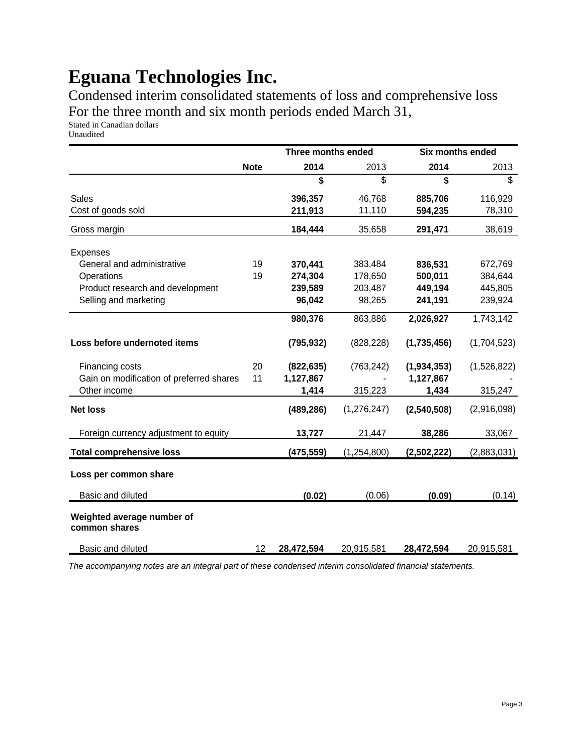Condensed interim consolidated statements of loss and comprehensive loss For the three month and six month periods ended March 31,

Stated in Canadian dollars

|                                             |             | Three months ended |               | <b>Six months ended</b> |             |
|---------------------------------------------|-------------|--------------------|---------------|-------------------------|-------------|
|                                             | <b>Note</b> | 2014               | 2013          | 2014                    | 2013        |
|                                             |             | \$                 | \$            | \$                      | \$          |
| <b>Sales</b>                                |             | 396,357            | 46,768        | 885,706                 | 116,929     |
| Cost of goods sold                          |             | 211,913            | 11,110        | 594,235                 | 78,310      |
| Gross margin                                |             | 184,444            | 35,658        | 291,471                 | 38,619      |
| <b>Expenses</b>                             |             |                    |               |                         |             |
| General and administrative                  | 19          | 370,441            | 383,484       | 836,531                 | 672,769     |
| Operations                                  | 19          | 274,304            | 178,650       | 500,011                 | 384,644     |
| Product research and development            |             | 239,589            | 203,487       | 449,194                 | 445,805     |
| Selling and marketing                       |             | 96,042             | 98,265        | 241,191                 | 239,924     |
|                                             |             | 980,376            | 863,886       | 2,026,927               | 1,743,142   |
| Loss before undernoted items                |             | (795, 932)         | (828, 228)    | (1,735,456)             | (1,704,523) |
| Financing costs                             | 20          | (822, 635)         | (763, 242)    | (1,934,353)             | (1,526,822) |
| Gain on modification of preferred shares    | 11          | 1,127,867          |               | 1,127,867               |             |
| Other income                                |             | 1,414              | 315,223       | 1,434                   | 315,247     |
| <b>Net loss</b>                             |             | (489, 286)         | (1, 276, 247) | (2,540,508)             | (2,916,098) |
| Foreign currency adjustment to equity       |             | 13,727             | 21,447        | 38,286                  | 33,067      |
| <b>Total comprehensive loss</b>             |             | (475, 559)         | (1,254,800)   | (2,502,222)             | (2,883,031) |
| Loss per common share                       |             |                    |               |                         |             |
| Basic and diluted                           |             | (0.02)             | (0.06)        | (0.09)                  | (0.14)      |
|                                             |             |                    |               |                         |             |
| Weighted average number of<br>common shares |             |                    |               |                         |             |
| Basic and diluted                           | 12          | 28,472,594         | 20,915,581    | 28,472,594              | 20,915,581  |

*The accompanying notes are an integral part of these condensed interim consolidated financial statements.*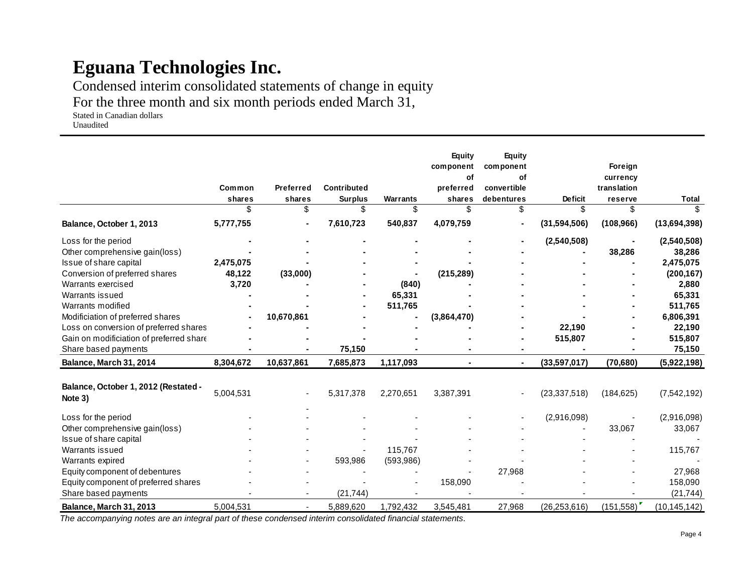Condensed interim consolidated statements of change in equity

For the three month and six month periods ended March 31,

Stated in Canadian dollars Unaudited

|                                                 |               |                  |                      |                       | <b>Equity</b><br>component<br>of | <b>Equity</b><br>component<br>of |                      | Foreign<br>currency |                |
|-------------------------------------------------|---------------|------------------|----------------------|-----------------------|----------------------------------|----------------------------------|----------------------|---------------------|----------------|
|                                                 | Common        | <b>Preferred</b> | <b>Contributed</b>   |                       | preferred                        | convertible                      |                      | translation         |                |
|                                                 | shares<br>\$. | shares<br>\$     | <b>Surplus</b><br>\$ | <b>Warrants</b><br>\$ | shares<br>\$                     | debentures<br>\$                 | <b>Deficit</b><br>\$ | reserve<br>\$       | <b>Total</b>   |
| Balance, October 1, 2013                        | 5,777,755     |                  | 7,610,723            | 540,837               | 4,079,759                        |                                  | (31, 594, 506)       | (108, 966)          | (13,694,398)   |
| Loss for the period                             |               |                  |                      |                       |                                  |                                  | (2,540,508)          |                     | (2,540,508)    |
| Other comprehensive gain(loss)                  |               |                  |                      |                       |                                  |                                  |                      | 38,286              | 38,286         |
| Issue of share capital                          | 2,475,075     |                  |                      |                       |                                  |                                  |                      |                     | 2,475,075      |
| Conversion of preferred shares                  | 48,122        | (33,000)         |                      |                       | (215, 289)                       |                                  |                      |                     | (200, 167)     |
| Warrants exercised                              | 3,720         |                  |                      | (840)                 |                                  |                                  |                      |                     | 2,880          |
| Warrants issued                                 |               |                  |                      | 65,331                |                                  |                                  |                      |                     | 65,331         |
| Warrants modified                               |               |                  |                      | 511,765               |                                  |                                  |                      |                     | 511,765        |
| Modificiation of preferred shares               |               | 10,670,861       |                      |                       | (3,864,470)                      |                                  |                      |                     | 6,806,391      |
| Loss on conversion of preferred shares          |               |                  |                      |                       |                                  |                                  | 22,190               |                     | 22,190         |
| Gain on modificiation of preferred share        |               |                  |                      |                       |                                  |                                  | 515,807              |                     | 515,807        |
| Share based payments                            |               |                  | 75,150               |                       |                                  |                                  |                      |                     | 75,150         |
| Balance, March 31, 2014                         | 8,304,672     | 10,637,861       | 7,685,873            | 1,117,093             |                                  |                                  | (33,597,017)         | (70, 680)           | (5,922,198)    |
| Balance, October 1, 2012 (Restated -<br>Note 3) | 5,004,531     |                  | 5,317,378            | 2,270,651             | 3,387,391                        |                                  | (23, 337, 518)       | (184, 625)          | (7, 542, 192)  |
| Loss for the period                             |               |                  |                      |                       |                                  |                                  | (2,916,098)          |                     | (2,916,098)    |
| Other comprehensive gain(loss)                  |               |                  |                      |                       |                                  |                                  |                      | 33,067              | 33,067         |
| Issue of share capital                          |               |                  |                      |                       |                                  |                                  |                      |                     |                |
| Warrants issued                                 |               |                  |                      | 115,767               |                                  |                                  |                      |                     | 115,767        |
| Warrants expired                                |               |                  | 593,986              | (593, 986)            |                                  |                                  |                      |                     |                |
| Equity component of debentures                  |               |                  |                      |                       |                                  | 27,968                           |                      |                     | 27,968         |
| Equity component of preferred shares            |               |                  |                      |                       | 158,090                          |                                  |                      |                     | 158,090        |
| Share based payments                            |               |                  | (21, 744)            |                       |                                  |                                  |                      |                     | (21, 744)      |
| Balance, March 31, 2013                         | 5,004,531     |                  | 5,889,620            | 1,792,432             | 3,545,481                        | 27,968                           | (26, 253, 616)       | (151,558)           | (10, 145, 142) |

*The accompanying notes are an integral part of these condensed interim consolidated financial statements.*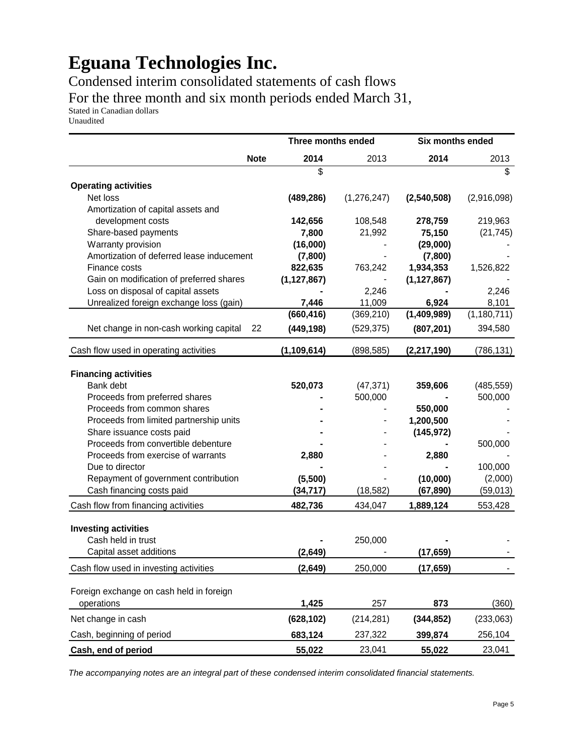Condensed interim consolidated statements of cash flows For the three month and six month periods ended March 31,

Stated in Canadian dollars

Unaudited

|                                           |             | Three months ended |               | Six months ended |                         |  |
|-------------------------------------------|-------------|--------------------|---------------|------------------|-------------------------|--|
|                                           | <b>Note</b> | 2014               | 2013          | 2014             | 2013                    |  |
|                                           |             | \$                 |               |                  | $\overline{\mathbb{S}}$ |  |
| <b>Operating activities</b>               |             |                    |               |                  |                         |  |
| Net loss                                  |             | (489, 286)         | (1, 276, 247) | (2,540,508)      | (2,916,098)             |  |
| Amortization of capital assets and        |             |                    |               |                  |                         |  |
| development costs                         |             | 142,656            | 108,548       | 278,759          | 219,963                 |  |
| Share-based payments                      |             | 7,800              | 21,992        | 75,150           | (21, 745)               |  |
| Warranty provision                        |             | (16,000)           |               | (29,000)         |                         |  |
| Amortization of deferred lease inducement |             | (7,800)            |               | (7,800)          |                         |  |
| Finance costs                             |             | 822,635            | 763,242       | 1,934,353        | 1,526,822               |  |
| Gain on modification of preferred shares  |             | (1, 127, 867)      |               | (1, 127, 867)    |                         |  |
| Loss on disposal of capital assets        |             |                    | 2,246         |                  | 2,246                   |  |
| Unrealized foreign exchange loss (gain)   |             | 7,446              | 11,009        | 6,924            | 8,101                   |  |
|                                           |             | (660, 416)         | (369, 210)    | (1,409,989)      | (1, 180, 711)           |  |
| Net change in non-cash working capital    | 22          | (449, 198)         | (529, 375)    | (807, 201)       | 394,580                 |  |
| Cash flow used in operating activities    |             | (1, 109, 614)      | (898, 585)    | (2, 217, 190)    | (786, 131)              |  |
|                                           |             |                    |               |                  |                         |  |
| <b>Financing activities</b>               |             |                    |               |                  |                         |  |
| Bank debt                                 |             | 520,073            | (47, 371)     | 359,606          | (485, 559)              |  |
| Proceeds from preferred shares            |             |                    | 500,000       |                  | 500,000                 |  |
| Proceeds from common shares               |             |                    |               | 550,000          |                         |  |
| Proceeds from limited partnership units   |             |                    |               | 1,200,500        |                         |  |
| Share issuance costs paid                 |             |                    |               | (145, 972)       |                         |  |
| Proceeds from convertible debenture       |             |                    |               |                  | 500,000                 |  |
| Proceeds from exercise of warrants        |             | 2,880              |               | 2,880            |                         |  |
| Due to director                           |             |                    |               |                  | 100,000                 |  |
| Repayment of government contribution      |             | (5,500)            |               | (10,000)         | (2,000)                 |  |
| Cash financing costs paid                 |             | (34, 717)          | (18, 582)     | (67, 890)        | (59, 013)               |  |
| Cash flow from financing activities       |             | 482,736            | 434,047       | 1,889,124        | 553,428                 |  |
| <b>Investing activities</b>               |             |                    |               |                  |                         |  |
| Cash held in trust                        |             |                    | 250,000       |                  |                         |  |
| Capital asset additions                   |             | (2,649)            |               | (17, 659)        |                         |  |
| Cash flow used in investing activities    |             | (2,649)            | 250,000       | (17, 659)        |                         |  |
|                                           |             |                    |               |                  |                         |  |
| Foreign exchange on cash held in foreign  |             |                    |               |                  |                         |  |
| operations                                |             | 1,425              | 257           | 873              | (360)                   |  |
| Net change in cash                        |             | (628, 102)         | (214, 281)    | (344, 852)       | (233,063)               |  |
| Cash, beginning of period                 |             | 683,124            | 237,322       | 399,874          | 256,104                 |  |
| Cash, end of period                       |             | 55,022             | 23,041        | 55,022           | 23,041                  |  |

*The accompanying notes are an integral part of these condensed interim consolidated financial statements.*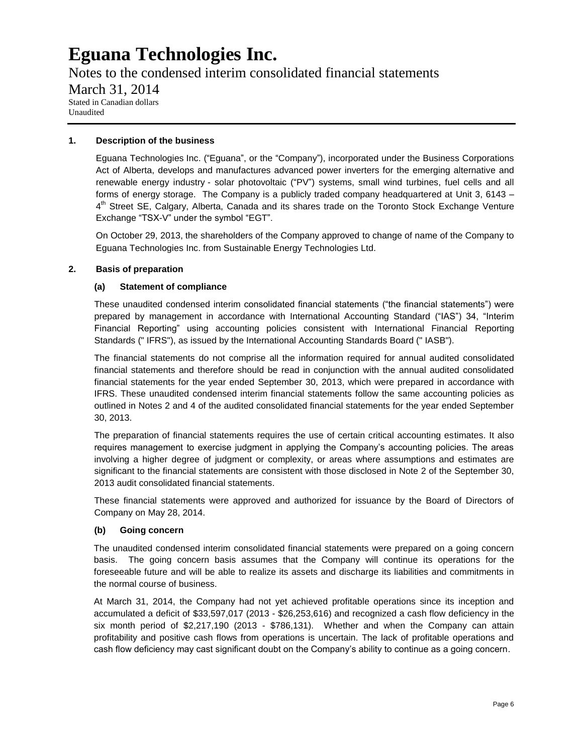Notes to the condensed interim consolidated financial statements March 31, 2014 Stated in Canadian dollars Unaudited

### **1. Description of the business**

Eguana Technologies Inc. ("Eguana", or the "Company"), incorporated under the Business Corporations Act of Alberta, develops and manufactures advanced power inverters for the emerging alternative and renewable energy industry - solar photovoltaic ("PV") systems, small wind turbines, fuel cells and all forms of energy storage. The Company is a publicly traded company headquartered at Unit 3, 6143 – 4<sup>th</sup> Street SE, Calgary, Alberta, Canada and its shares trade on the Toronto Stock Exchange Venture Exchange "TSX-V" under the symbol "EGT".

On October 29, 2013, the shareholders of the Company approved to change of name of the Company to Eguana Technologies Inc. from Sustainable Energy Technologies Ltd.

### **2. Basis of preparation**

### **(a) Statement of compliance**

These unaudited condensed interim consolidated financial statements ("the financial statements") were prepared by management in accordance with International Accounting Standard ("IAS") 34, "Interim Financial Reporting" using accounting policies consistent with International Financial Reporting Standards (" IFRS"), as issued by the International Accounting Standards Board (" IASB").

The financial statements do not comprise all the information required for annual audited consolidated financial statements and therefore should be read in conjunction with the annual audited consolidated financial statements for the year ended September 30, 2013, which were prepared in accordance with IFRS. These unaudited condensed interim financial statements follow the same accounting policies as outlined in Notes 2 and 4 of the audited consolidated financial statements for the year ended September 30, 2013.

The preparation of financial statements requires the use of certain critical accounting estimates. It also requires management to exercise judgment in applying the Company's accounting policies. The areas involving a higher degree of judgment or complexity, or areas where assumptions and estimates are significant to the financial statements are consistent with those disclosed in Note 2 of the September 30, 2013 audit consolidated financial statements.

These financial statements were approved and authorized for issuance by the Board of Directors of Company on May 28, 2014.

#### **(b) Going concern**

The unaudited condensed interim consolidated financial statements were prepared on a going concern basis. The going concern basis assumes that the Company will continue its operations for the foreseeable future and will be able to realize its assets and discharge its liabilities and commitments in the normal course of business.

At March 31, 2014, the Company had not yet achieved profitable operations since its inception and accumulated a deficit of \$33,597,017 (2013 - \$26,253,616) and recognized a cash flow deficiency in the six month period of \$2,217,190 (2013 - \$786,131). Whether and when the Company can attain profitability and positive cash flows from operations is uncertain. The lack of profitable operations and cash flow deficiency may cast significant doubt on the Company's ability to continue as a going concern.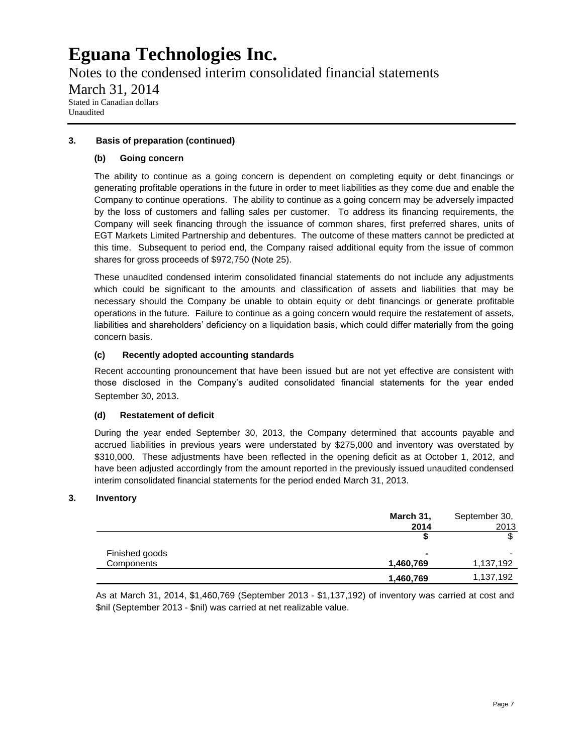Notes to the condensed interim consolidated financial statements March 31, 2014 Stated in Canadian dollars Unaudited

### **3. Basis of preparation (continued)**

### **(b) Going concern**

The ability to continue as a going concern is dependent on completing equity or debt financings or generating profitable operations in the future in order to meet liabilities as they come due and enable the Company to continue operations. The ability to continue as a going concern may be adversely impacted by the loss of customers and falling sales per customer. To address its financing requirements, the Company will seek financing through the issuance of common shares, first preferred shares, units of EGT Markets Limited Partnership and debentures. The outcome of these matters cannot be predicted at this time. Subsequent to period end, the Company raised additional equity from the issue of common shares for gross proceeds of \$972,750 (Note 25).

These unaudited condensed interim consolidated financial statements do not include any adjustments which could be significant to the amounts and classification of assets and liabilities that may be necessary should the Company be unable to obtain equity or debt financings or generate profitable operations in the future. Failure to continue as a going concern would require the restatement of assets, liabilities and shareholders' deficiency on a liquidation basis, which could differ materially from the going concern basis.

### **(c) Recently adopted accounting standards**

Recent accounting pronouncement that have been issued but are not yet effective are consistent with those disclosed in the Company's audited consolidated financial statements for the year ended September 30, 2013.

### **(d) Restatement of deficit**

During the year ended September 30, 2013, the Company determined that accounts payable and accrued liabilities in previous years were understated by \$275,000 and inventory was overstated by \$310,000. These adjustments have been reflected in the opening deficit as at October 1, 2012, and have been adjusted accordingly from the amount reported in the previously issued unaudited condensed interim consolidated financial statements for the period ended March 31, 2013.

### **3. Inventory**

|                | March 31, | September 30, |
|----------------|-----------|---------------|
|                | 2014      | 2013          |
|                | S         | \$            |
| Finished goods |           |               |
| Components     | 1,460,769 | 1,137,192     |
|                | 1,460,769 | 1,137,192     |

As at March 31, 2014, \$1,460,769 (September 2013 - \$1,137,192) of inventory was carried at cost and \$nil (September 2013 - \$nil) was carried at net realizable value.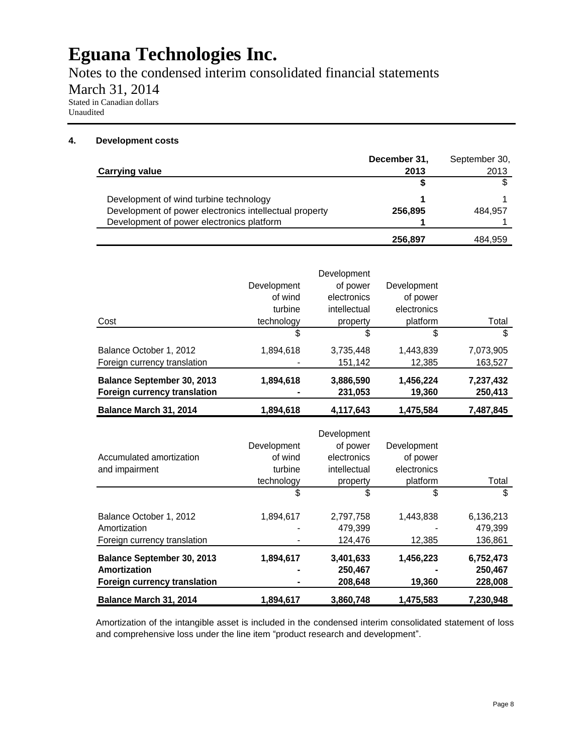Notes to the condensed interim consolidated financial statements

March 31, 2014

Stated in Canadian dollars Unaudited

### **4. Development costs**

|                                                        | December 31, | September 30, |
|--------------------------------------------------------|--------------|---------------|
| <b>Carrying value</b>                                  | 2013         | 2013          |
|                                                        |              |               |
| Development of wind turbine technology                 |              |               |
| Development of power electronics intellectual property | 256.895      | 484.957       |
| Development of power electronics platform              |              |               |
|                                                        | 256.897      | 484,959       |

|                                                            |             | Development          |                     |                      |
|------------------------------------------------------------|-------------|----------------------|---------------------|----------------------|
|                                                            | Development | of power             | Development         |                      |
|                                                            | of wind     | electronics          | of power            |                      |
|                                                            | turbine     | intellectual         | electronics         |                      |
| Cost                                                       | technology  | property             | platform            | Total                |
|                                                            | \$          | \$                   | \$                  | \$                   |
| Balance October 1, 2012                                    | 1,894,618   | 3,735,448            | 1,443,839           | 7,073,905            |
| Foreign currency translation                               |             | 151,142              | 12,385              | 163,527              |
| Balance September 30, 2013<br>Foreign currency translation | 1,894,618   | 3,886,590<br>231,053 | 1,456,224<br>19,360 | 7,237,432<br>250,413 |
| Balance March 31, 2014                                     | 1,894,618   | 4.117.643            | 1.475.584           | 7.487.845            |

| Accumulated amortization<br>and impairment                                        | Development<br>of wind<br>turbine<br>technology | Development<br>of power<br>electronics<br>intellectual<br>property | Development<br>of power<br>electronics<br>platform | Total                           |
|-----------------------------------------------------------------------------------|-------------------------------------------------|--------------------------------------------------------------------|----------------------------------------------------|---------------------------------|
|                                                                                   | \$                                              | \$                                                                 | \$                                                 | \$                              |
| Balance October 1, 2012<br>Amortization                                           | 1,894,617                                       | 2,797,758<br>479.399                                               | 1,443,838                                          | 6,136,213<br>479.399            |
| Foreign currency translation                                                      |                                                 | 124,476                                                            | 12,385                                             | 136,861                         |
| <b>Balance September 30, 2013</b><br>Amortization<br>Foreign currency translation | 1,894,617                                       | 3,401,633<br>250,467<br>208,648                                    | 1,456,223<br>19,360                                | 6,752,473<br>250,467<br>228,008 |
| Balance March 31, 2014                                                            | 1.894.617                                       | 3,860,748                                                          | 1,475,583                                          | 7.230.948                       |

Amortization of the intangible asset is included in the condensed interim consolidated statement of loss and comprehensive loss under the line item "product research and development".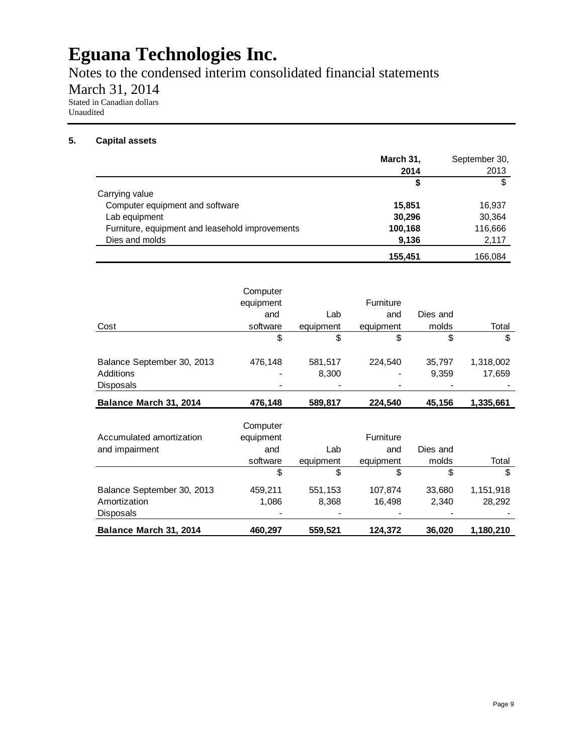Notes to the condensed interim consolidated financial statements

March 31, 2014

Stated in Canadian dollars Unaudited

### **5. Capital assets**

|                                                 | March 31, | September 30, |
|-------------------------------------------------|-----------|---------------|
|                                                 | 2014      | 2013          |
|                                                 | S         | \$            |
| Carrying value                                  |           |               |
| Computer equipment and software                 | 15,851    | 16,937        |
| Lab equipment                                   | 30,296    | 30,364        |
| Furniture, equipment and leasehold improvements | 100,168   | 116,666       |
| Dies and molds                                  | 9,136     | 2,117         |
|                                                 | 155,451   | 166.084       |

|                            | Computer<br>equipment |           | Furniture                |          |           |
|----------------------------|-----------------------|-----------|--------------------------|----------|-----------|
|                            | and                   | Lab       | and                      | Dies and |           |
| Cost                       | software              | equipment | equipment                | molds    | Total     |
|                            | \$                    | \$        | \$                       | \$       | \$        |
| Balance September 30, 2013 | 476,148               | 581,517   | 224,540                  | 35,797   | 1,318,002 |
| Additions                  |                       | 8,300     | $\overline{\phantom{a}}$ | 9,359    | 17,659    |
| <b>Disposals</b>           |                       |           |                          |          |           |
| Balance March 31, 2014     | 476,148               | 589,817   | 224,540                  | 45,156   | 1,335,661 |

| Balance March 31, 2014     | 460,297   | 559,521   | 124,372          | 36,020   | 1,180,210 |
|----------------------------|-----------|-----------|------------------|----------|-----------|
| <b>Disposals</b>           |           |           |                  |          |           |
| Amortization               | 1.086     | 8,368     | 16.498           | 2,340    | 28,292    |
| Balance September 30, 2013 | 459,211   | 551,153   | 107,874          | 33,680   | 1,151,918 |
|                            | \$        | \$        | \$               | \$       | \$        |
|                            | software  | equipment | equipment        | molds    | Total     |
| and impairment             | and       | Lab       | and              | Dies and |           |
| Accumulated amortization   | equipment |           | <b>Furniture</b> |          |           |
|                            | Computer  |           |                  |          |           |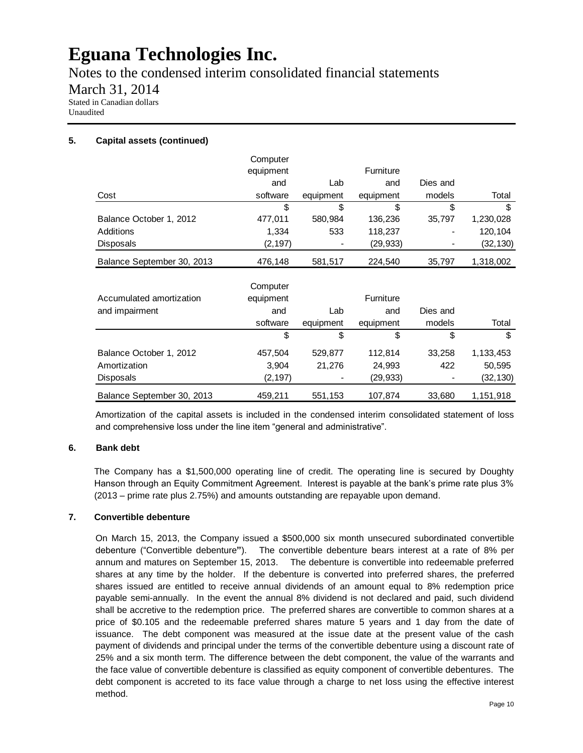Notes to the condensed interim consolidated financial statements

March 31, 2014 Stated in Canadian dollars

Unaudited

# **5. Capital assets (continued)**

|                            | Computer  |           |           |          |           |
|----------------------------|-----------|-----------|-----------|----------|-----------|
|                            | equipment |           | Furniture |          |           |
|                            | and       | Lab       | and       | Dies and |           |
| Cost                       | software  | equipment | equipment | models   | Total     |
|                            | \$        | \$        | \$        | \$       | \$        |
| Balance October 1, 2012    | 477,011   | 580,984   | 136,236   | 35,797   | 1,230,028 |
| Additions                  | 1,334     | 533       | 118,237   |          | 120,104   |
| <b>Disposals</b>           | (2, 197)  |           | (29, 933) |          | (32,130)  |
| Balance September 30, 2013 | 476,148   | 581,517   | 224,540   | 35,797   | 1,318,002 |
|                            | Computer  |           |           |          |           |
| Accumulated amortization   | equipment |           | Furniture |          |           |
| and impairment             | and       | Lab       | and       | Dies and |           |
|                            | software  | equipment | equipment | models   | Total     |
|                            | \$        | \$        | \$        | \$       | \$        |
| Balance October 1, 2012    | 457,504   | 529,877   | 112,814   | 33,258   | 1,133,453 |
| Amortization               | 3,904     | 21,276    | 24,993    | 422      | 50,595    |
| <b>Disposals</b>           | (2, 197)  |           | (29, 933) |          | (32,130)  |
| Balance September 30, 2013 | 459,211   | 551,153   | 107,874   | 33,680   | 1,151,918 |

Amortization of the capital assets is included in the condensed interim consolidated statement of loss and comprehensive loss under the line item "general and administrative".

### **6. Bank debt**

The Company has a \$1,500,000 operating line of credit. The operating line is secured by Doughty Hanson through an Equity Commitment Agreement. Interest is payable at the bank's prime rate plus 3% (2013 – prime rate plus 2.75%) and amounts outstanding are repayable upon demand.

### **7. Convertible debenture**

On March 15, 2013, the Company issued a \$500,000 six month unsecured subordinated convertible debenture ("Convertible debenture**"**). The convertible debenture bears interest at a rate of 8% per annum and matures on September 15, 2013. The debenture is convertible into redeemable preferred shares at any time by the holder. If the debenture is converted into preferred shares, the preferred shares issued are entitled to receive annual dividends of an amount equal to 8% redemption price payable semi-annually. In the event the annual 8% dividend is not declared and paid, such dividend shall be accretive to the redemption price. The preferred shares are convertible to common shares at a price of \$0.105 and the redeemable preferred shares mature 5 years and 1 day from the date of issuance. The debt component was measured at the issue date at the present value of the cash payment of dividends and principal under the terms of the convertible debenture using a discount rate of 25% and a six month term. The difference between the debt component, the value of the warrants and the face value of convertible debenture is classified as equity component of convertible debentures. The debt component is accreted to its face value through a charge to net loss using the effective interest method.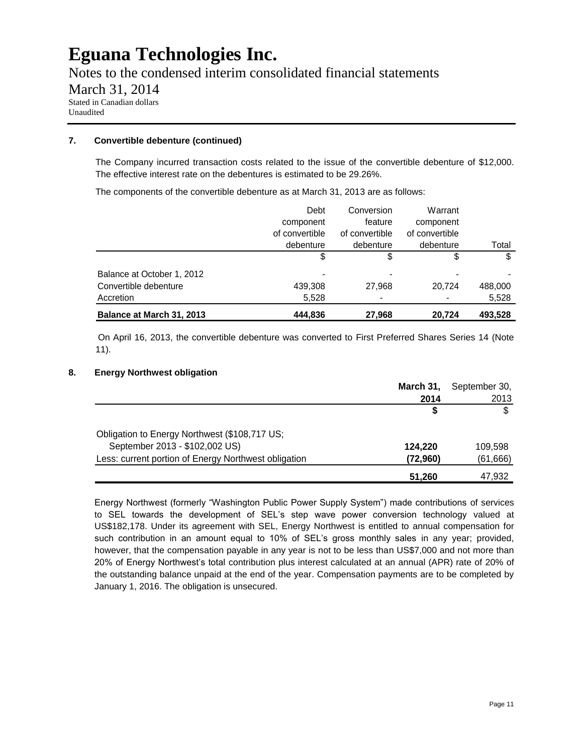Notes to the condensed interim consolidated financial statements March 31, 2014 Stated in Canadian dollars Unaudited

### **7. Convertible debenture (continued)**

The Company incurred transaction costs related to the issue of the convertible debenture of \$12,000. The effective interest rate on the debentures is estimated to be 29.26%.

The components of the convertible debenture as at March 31, 2013 are as follows:

|                            | Debt           | Conversion               | Warrant        |         |
|----------------------------|----------------|--------------------------|----------------|---------|
|                            | component      | feature                  | component      |         |
|                            | of convertible | of convertible           | of convertible |         |
|                            | debenture      | debenture                | debenture      | Total   |
|                            | \$             | \$                       | \$             | \$      |
| Balance at October 1, 2012 | ٠              | $\overline{\phantom{0}}$ |                |         |
| Convertible debenture      | 439,308        | 27,968                   | 20.724         | 488,000 |
| Accretion                  | 5,528          |                          |                | 5,528   |
| Balance at March 31, 2013  | 444,836        | 27,968                   | 20.724         | 493,528 |

On April 16, 2013, the convertible debenture was converted to First Preferred Shares Series 14 (Note 11).

### **8. Energy Northwest obligation**

|                                                      | March 31, | September 30, |
|------------------------------------------------------|-----------|---------------|
|                                                      | 2014      | 2013          |
|                                                      |           |               |
| Obligation to Energy Northwest (\$108,717 US;        |           |               |
| September 2013 - \$102,002 US)                       | 124,220   | 109.598       |
| Less: current portion of Energy Northwest obligation | (72,960)  | (61,666)      |
|                                                      | 51.260    | 47,932        |

Energy Northwest (formerly "Washington Public Power Supply System") made contributions of services to SEL towards the development of SEL's step wave power conversion technology valued at US\$182,178. Under its agreement with SEL, Energy Northwest is entitled to annual compensation for such contribution in an amount equal to 10% of SEL's gross monthly sales in any year; provided, however, that the compensation payable in any year is not to be less than US\$7,000 and not more than 20% of Energy Northwest's total contribution plus interest calculated at an annual (APR) rate of 20% of the outstanding balance unpaid at the end of the year. Compensation payments are to be completed by January 1, 2016. The obligation is unsecured.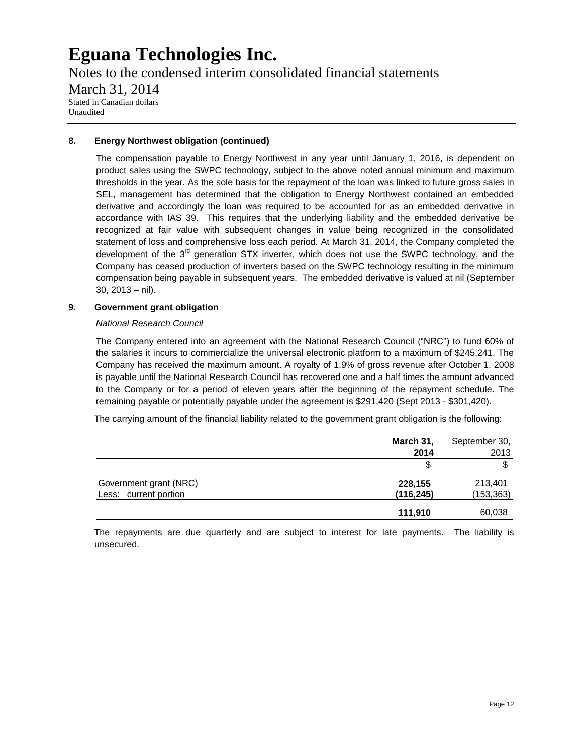Notes to the condensed interim consolidated financial statements March 31, 2014 Stated in Canadian dollars Unaudited

### **8. Energy Northwest obligation (continued)**

The compensation payable to Energy Northwest in any year until January 1, 2016, is dependent on product sales using the SWPC technology, subject to the above noted annual minimum and maximum thresholds in the year. As the sole basis for the repayment of the loan was linked to future gross sales in SEL, management has determined that the obligation to Energy Northwest contained an embedded derivative and accordingly the loan was required to be accounted for as an embedded derivative in accordance with IAS 39. This requires that the underlying liability and the embedded derivative be recognized at fair value with subsequent changes in value being recognized in the consolidated statement of loss and comprehensive loss each period. At March 31, 2014, the Company completed the development of the 3<sup>rd</sup> generation STX inverter, which does not use the SWPC technology, and the Company has ceased production of inverters based on the SWPC technology resulting in the minimum compensation being payable in subsequent years. The embedded derivative is valued at nil (September 30, 2013 – nil).

### **9. Government grant obligation**

#### *National Research Council*

The Company entered into an agreement with the National Research Council ("NRC") to fund 60% of the salaries it incurs to commercialize the universal electronic platform to a maximum of \$245,241. The Company has received the maximum amount. A royalty of 1.9% of gross revenue after October 1, 2008 is payable until the National Research Council has recovered one and a half times the amount advanced to the Company or for a period of eleven years after the beginning of the repayment schedule. The remaining payable or potentially payable under the agreement is \$291,420 (Sept 2013 - \$301,420).

The carrying amount of the financial liability related to the government grant obligation is the following:

|                        | March 31,  | September 30, |
|------------------------|------------|---------------|
|                        | 2014       | 2013          |
|                        |            |               |
| Government grant (NRC) | 228,155    | 213,401       |
| Less: current portion  | (116, 245) | (153, 363)    |
|                        | 111,910    | 60,038        |

The repayments are due quarterly and are subject to interest for late payments. The liability is unsecured.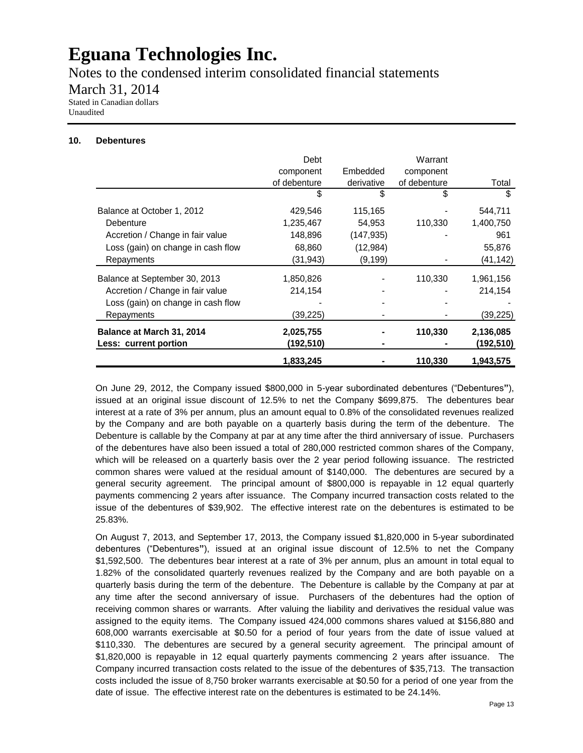Notes to the condensed interim consolidated financial statements

March 31, 2014

Stated in Canadian dollars Unaudited

### **10. Debentures**

|                                    | Debt         |            | Warrant      |           |
|------------------------------------|--------------|------------|--------------|-----------|
|                                    | component    | Embedded   | component    |           |
|                                    | of debenture | derivative | of debenture | Total     |
|                                    | S            | \$         | S            | \$        |
| Balance at October 1, 2012         | 429,546      | 115,165    |              | 544,711   |
| Debenture                          | 1,235,467    | 54,953     | 110,330      | 1,400,750 |
| Accretion / Change in fair value   | 148,896      | (147, 935) |              | 961       |
| Loss (gain) on change in cash flow | 68,860       | (12, 984)  |              | 55,876    |
| Repayments                         | (31, 943)    | (9, 199)   |              | (41,142)  |
| Balance at September 30, 2013      | 1,850,826    |            | 110,330      | 1,961,156 |
| Accretion / Change in fair value   | 214,154      |            |              | 214,154   |
| Loss (gain) on change in cash flow |              |            |              |           |
| Repayments                         | (39, 225)    |            |              | (39, 225) |
| Balance at March 31, 2014          | 2,025,755    |            | 110,330      | 2,136,085 |
| Less: current portion              | (192,510)    |            |              | (192,510) |
|                                    | 1,833,245    |            | 110,330      | 1,943,575 |

On June 29, 2012, the Company issued \$800,000 in 5-year subordinated debentures ("Debentures**"**), issued at an original issue discount of 12.5% to net the Company \$699,875. The debentures bear interest at a rate of 3% per annum, plus an amount equal to 0.8% of the consolidated revenues realized by the Company and are both payable on a quarterly basis during the term of the debenture. The Debenture is callable by the Company at par at any time after the third anniversary of issue. Purchasers of the debentures have also been issued a total of 280,000 restricted common shares of the Company, which will be released on a quarterly basis over the 2 year period following issuance. The restricted common shares were valued at the residual amount of \$140,000. The debentures are secured by a general security agreement. The principal amount of \$800,000 is repayable in 12 equal quarterly payments commencing 2 years after issuance. The Company incurred transaction costs related to the issue of the debentures of \$39,902. The effective interest rate on the debentures is estimated to be 25.83%.

On August 7, 2013, and September 17, 2013, the Company issued \$1,820,000 in 5-year subordinated debentures ("Debentures**"**), issued at an original issue discount of 12.5% to net the Company \$1,592,500. The debentures bear interest at a rate of 3% per annum, plus an amount in total equal to 1.82% of the consolidated quarterly revenues realized by the Company and are both payable on a quarterly basis during the term of the debenture. The Debenture is callable by the Company at par at any time after the second anniversary of issue. Purchasers of the debentures had the option of receiving common shares or warrants. After valuing the liability and derivatives the residual value was assigned to the equity items. The Company issued 424,000 commons shares valued at \$156,880 and 608,000 warrants exercisable at \$0.50 for a period of four years from the date of issue valued at \$110,330. The debentures are secured by a general security agreement. The principal amount of \$1,820,000 is repayable in 12 equal quarterly payments commencing 2 years after issuance. The Company incurred transaction costs related to the issue of the debentures of \$35,713. The transaction costs included the issue of 8,750 broker warrants exercisable at \$0.50 for a period of one year from the date of issue. The effective interest rate on the debentures is estimated to be 24.14%.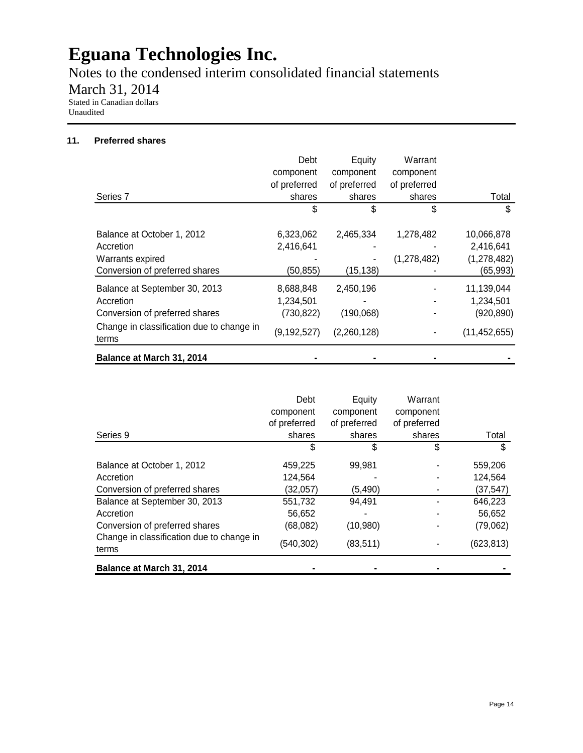Notes to the condensed interim consolidated financial statements

March 31, 2014

Stated in Canadian dollars Unaudited

# **11. Preferred shares**

|                                                    | Debt          | Equity       | Warrant      |                |
|----------------------------------------------------|---------------|--------------|--------------|----------------|
|                                                    | component     | component    | component    |                |
|                                                    | of preferred  | of preferred | of preferred |                |
| Series <sub>7</sub>                                | shares        | shares       | shares       | Total          |
|                                                    | S             | \$           | S            | \$             |
| Balance at October 1, 2012                         | 6,323,062     | 2,465,334    | 1,278,482    | 10,066,878     |
| Accretion                                          | 2,416,641     |              |              | 2,416,641      |
| Warrants expired                                   |               |              | (1,278,482)  | (1, 278, 482)  |
| Conversion of preferred shares                     | (50, 855)     | (15, 138)    |              | (65, 993)      |
| Balance at September 30, 2013                      | 8,688,848     | 2,450,196    |              | 11,139,044     |
| Accretion                                          | 1,234,501     |              |              | 1,234,501      |
| Conversion of preferred shares                     | (730, 822)    | (190,068)    |              | (920, 890)     |
| Change in classification due to change in<br>terms | (9, 192, 527) | (2,260,128)  |              | (11, 452, 655) |
| Balance at March 31, 2014                          |               |              |              |                |

|                                                    | Debt         | Equity       | Warrant      |            |
|----------------------------------------------------|--------------|--------------|--------------|------------|
|                                                    | component    | component    | component    |            |
|                                                    | of preferred | of preferred | of preferred |            |
| Series 9                                           | shares       | shares       | shares       | Total      |
|                                                    | S            | \$           | \$           | S          |
| Balance at October 1, 2012                         | 459,225      | 99.981       |              | 559,206    |
| Accretion                                          | 124,564      |              |              | 124,564    |
| Conversion of preferred shares                     | (32,057)     | (5, 490)     |              | (37,547)   |
| Balance at September 30, 2013                      | 551,732      | 94,491       |              | 646,223    |
| Accretion                                          | 56,652       |              |              | 56,652     |
| Conversion of preferred shares                     | (68,082)     | (10, 980)    |              | (79,062)   |
| Change in classification due to change in<br>terms | (540, 302)   | (83, 511)    |              | (623, 813) |
| Balance at March 31, 2014                          |              |              |              |            |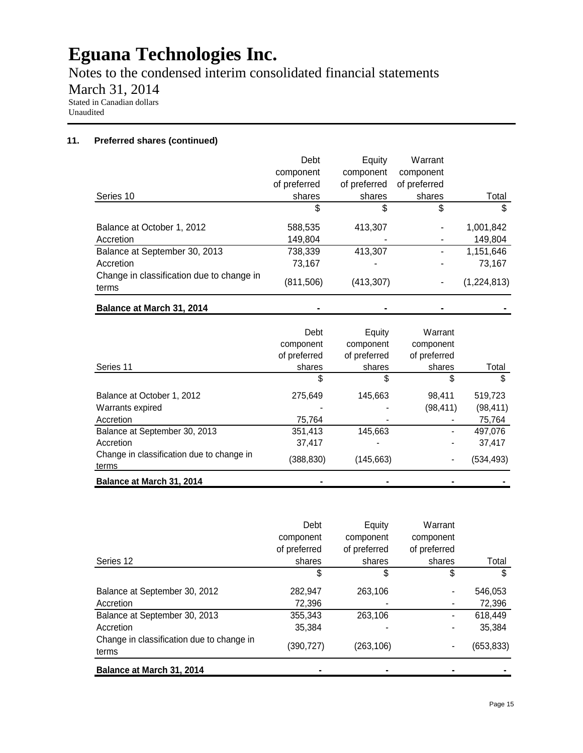Notes to the condensed interim consolidated financial statements

March 31, 2014

Stated in Canadian dollars Unaudited

# **11. Preferred shares (continued)**

|                                                    | Debt         | Equity       | Warrant      |             |
|----------------------------------------------------|--------------|--------------|--------------|-------------|
|                                                    | component    | component    | component    |             |
|                                                    | of preferred | of preferred | of preferred |             |
| Series 10                                          | shares       | shares       | shares       | Total       |
|                                                    | \$           | S            | \$           | S           |
| Balance at October 1, 2012                         | 588,535      | 413.307      |              | 1,001,842   |
| Accretion                                          | 149,804      |              |              | 149,804     |
| Balance at September 30, 2013                      | 738,339      | 413,307      |              | 1,151,646   |
| Accretion                                          | 73,167       |              |              | 73,167      |
| Change in classification due to change in<br>terms | (811,506)    | (413, 307)   |              | (1,224,813) |
| Balance at March 31, 2014                          |              |              |              |             |

|                                                    | Debt<br>component<br>of preferred | Equity<br>component<br>of preferred | Warrant<br>component<br>of preferred |           |
|----------------------------------------------------|-----------------------------------|-------------------------------------|--------------------------------------|-----------|
| Series 11                                          | shares                            | shares                              | shares                               | Total     |
|                                                    | \$                                | \$                                  | \$                                   | S         |
| Balance at October 1, 2012                         | 275,649                           | 145,663                             | 98,411                               | 519,723   |
| Warrants expired                                   |                                   |                                     | (98,411)                             | (98, 411) |
| Accretion                                          | 75,764                            |                                     |                                      | 75,764    |
| Balance at September 30, 2013                      | 351,413                           | 145,663                             |                                      | 497,076   |
| Accretion                                          | 37,417                            |                                     | $\blacksquare$                       | 37,417    |
| Change in classification due to change in<br>terms | (388,830)                         | (145, 663)                          |                                      | (534,493) |
| Balance at March 31, 2014                          |                                   |                                     |                                      |           |

|                                                    | Debt         | Equity       | Warrant      |            |
|----------------------------------------------------|--------------|--------------|--------------|------------|
|                                                    | component    | component    | component    |            |
|                                                    | of preferred | of preferred | of preferred |            |
| Series 12                                          | shares       | shares       | shares       | Total      |
|                                                    | \$           | \$           | \$           | S          |
| Balance at September 30, 2012                      | 282,947      | 263,106      |              | 546,053    |
| Accretion                                          | 72,396       |              | ۰            | 72,396     |
| Balance at September 30, 2013                      | 355,343      | 263,106      | ٠            | 618,449    |
| Accretion                                          | 35,384       |              | ٠            | 35,384     |
| Change in classification due to change in<br>terms | (390,727)    | (263,106)    | ۰            | (653, 833) |
| Balance at March 31, 2014                          |              |              |              |            |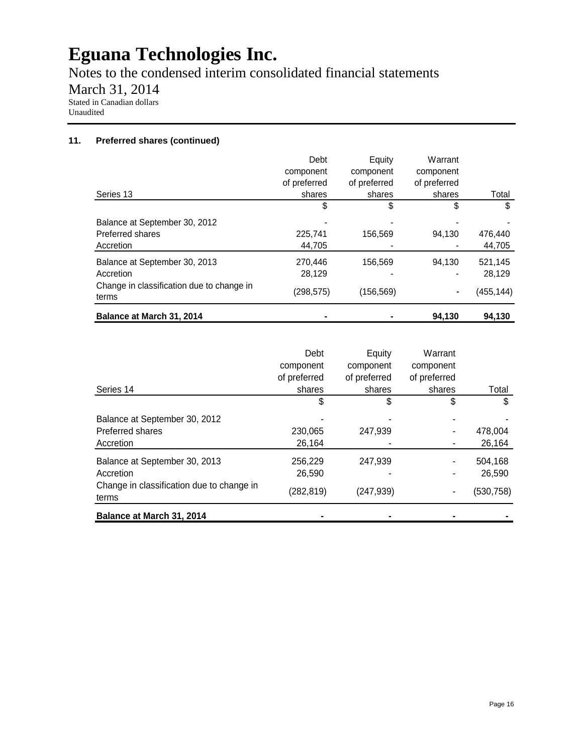Notes to the condensed interim consolidated financial statements March 31, 2014

Stated in Canadian dollars Unaudited

### **11. Preferred shares (continued)**

|                                                    | Debt<br>component<br>of preferred | Equity<br>component<br>of preferred | Warrant<br>component<br>of preferred |           |
|----------------------------------------------------|-----------------------------------|-------------------------------------|--------------------------------------|-----------|
| Series 14                                          | shares                            | shares                              | shares                               | Total     |
|                                                    | \$                                | \$                                  | \$                                   | \$        |
| Balance at September 30, 2012                      |                                   |                                     |                                      |           |
| Preferred shares                                   | 230,065                           | 247,939                             |                                      | 478,004   |
| Accretion                                          | 26,164                            |                                     |                                      | 26,164    |
| Balance at September 30, 2013                      | 256,229                           | 247.939                             |                                      | 504,168   |
| Accretion                                          | 26,590                            |                                     |                                      | 26,590    |
| Change in classification due to change in<br>terms | (282, 819)                        | (247, 939)                          |                                      | (530,758) |
| Balance at March 31, 2014                          |                                   |                                     |                                      |           |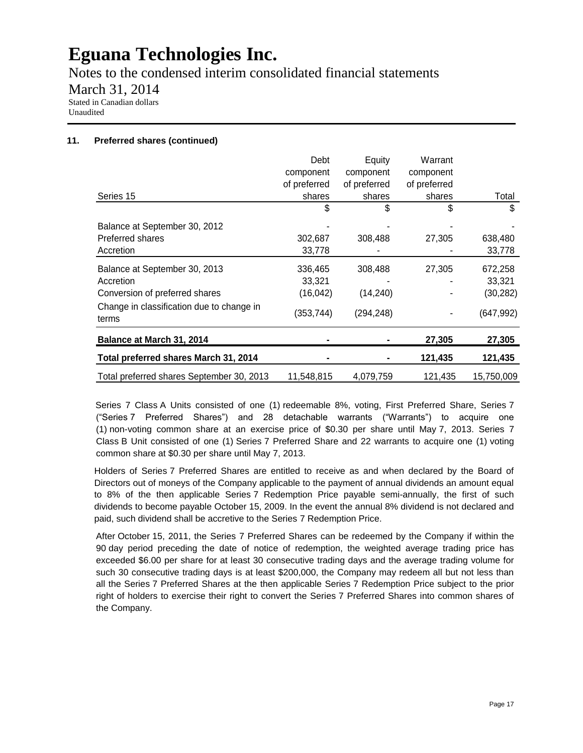Notes to the condensed interim consolidated financial statements

March 31, 2014

Stated in Canadian dollars Unaudited

# **11. Preferred shares (continued)**

|                                                    | Debt         | Equity       | Warrant      |            |
|----------------------------------------------------|--------------|--------------|--------------|------------|
|                                                    | component    | component    | component    |            |
|                                                    | of preferred | of preferred | of preferred |            |
| Series 15                                          | shares       | shares       | shares       | Total      |
|                                                    | \$           | \$           | \$           | \$         |
| Balance at September 30, 2012                      |              |              |              |            |
| Preferred shares                                   | 302,687      | 308,488      | 27,305       | 638,480    |
| Accretion                                          | 33,778       |              |              | 33,778     |
| Balance at September 30, 2013                      | 336,465      | 308,488      | 27,305       | 672,258    |
| Accretion                                          | 33,321       |              |              | 33,321     |
| Conversion of preferred shares                     | (16, 042)    | (14, 240)    |              | (30, 282)  |
| Change in classification due to change in<br>terms | (353, 744)   | (294, 248)   |              | (647, 992) |
| Balance at March 31, 2014                          |              |              | 27,305       | 27,305     |
| Total preferred shares March 31, 2014              |              |              | 121,435      | 121,435    |
| Total preferred shares September 30, 2013          | 11,548,815   | 4,079,759    | 121,435      | 15,750,009 |

Series 7 Class A Units consisted of one (1) redeemable 8%, voting, First Preferred Share, Series 7 ("Series 7 Preferred Shares") and 28 detachable warrants ("Warrants") to acquire one (1) non-voting common share at an exercise price of \$0.30 per share until May 7, 2013. Series 7 Class B Unit consisted of one (1) Series 7 Preferred Share and 22 warrants to acquire one (1) voting common share at \$0.30 per share until May 7, 2013.

Holders of Series 7 Preferred Shares are entitled to receive as and when declared by the Board of Directors out of moneys of the Company applicable to the payment of annual dividends an amount equal to 8% of the then applicable Series 7 Redemption Price payable semi-annually, the first of such dividends to become payable October 15, 2009. In the event the annual 8% dividend is not declared and paid, such dividend shall be accretive to the Series 7 Redemption Price.

After October 15, 2011, the Series 7 Preferred Shares can be redeemed by the Company if within the 90 day period preceding the date of notice of redemption, the weighted average trading price has exceeded \$6.00 per share for at least 30 consecutive trading days and the average trading volume for such 30 consecutive trading days is at least \$200,000, the Company may redeem all but not less than all the Series 7 Preferred Shares at the then applicable Series 7 Redemption Price subject to the prior right of holders to exercise their right to convert the Series 7 Preferred Shares into common shares of the Company.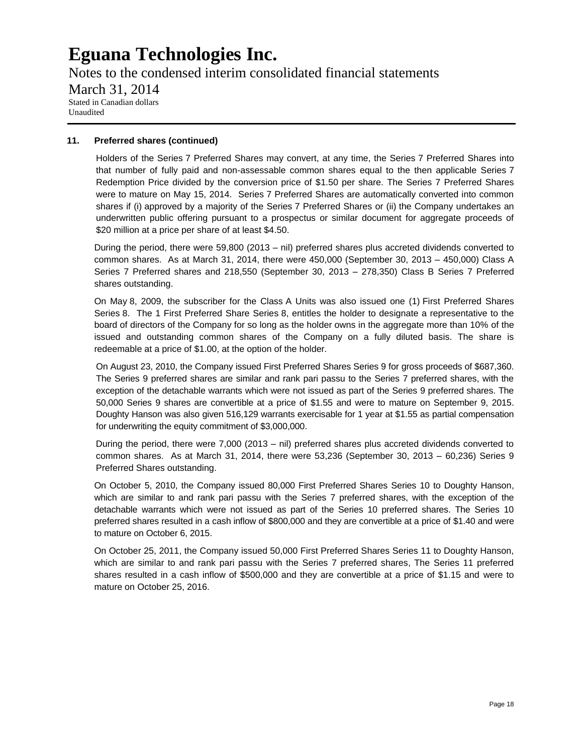Notes to the condensed interim consolidated financial statements March 31, 2014 Stated in Canadian dollars Unaudited

### **11. Preferred shares (continued)**

Holders of the Series 7 Preferred Shares may convert, at any time, the Series 7 Preferred Shares into that number of fully paid and non-assessable common shares equal to the then applicable Series 7 Redemption Price divided by the conversion price of \$1.50 per share. The Series 7 Preferred Shares were to mature on May 15, 2014. Series 7 Preferred Shares are automatically converted into common shares if (i) approved by a majority of the Series 7 Preferred Shares or (ii) the Company undertakes an underwritten public offering pursuant to a prospectus or similar document for aggregate proceeds of \$20 million at a price per share of at least \$4.50.

During the period, there were 59,800 (2013 – nil) preferred shares plus accreted dividends converted to common shares. As at March 31, 2014, there were 450,000 (September 30, 2013 – 450,000) Class A Series 7 Preferred shares and 218,550 (September 30, 2013 – 278,350) Class B Series 7 Preferred shares outstanding.

On May 8, 2009, the subscriber for the Class A Units was also issued one (1) First Preferred Shares Series 8. The 1 First Preferred Share Series 8, entitles the holder to designate a representative to the board of directors of the Company for so long as the holder owns in the aggregate more than 10% of the issued and outstanding common shares of the Company on a fully diluted basis. The share is redeemable at a price of \$1.00, at the option of the holder.

On August 23, 2010, the Company issued First Preferred Shares Series 9 for gross proceeds of \$687,360. The Series 9 preferred shares are similar and rank pari passu to the Series 7 preferred shares, with the exception of the detachable warrants which were not issued as part of the Series 9 preferred shares. The 50,000 Series 9 shares are convertible at a price of \$1.55 and were to mature on September 9, 2015. Doughty Hanson was also given 516,129 warrants exercisable for 1 year at \$1.55 as partial compensation for underwriting the equity commitment of \$3,000,000.

During the period, there were 7,000 (2013 – nil) preferred shares plus accreted dividends converted to common shares. As at March 31, 2014, there were 53,236 (September 30, 2013 – 60,236) Series 9 Preferred Shares outstanding.

On October 5, 2010, the Company issued 80,000 First Preferred Shares Series 10 to Doughty Hanson, which are similar to and rank pari passu with the Series 7 preferred shares, with the exception of the detachable warrants which were not issued as part of the Series 10 preferred shares. The Series 10 preferred shares resulted in a cash inflow of \$800,000 and they are convertible at a price of \$1.40 and were to mature on October 6, 2015.

On October 25, 2011, the Company issued 50,000 First Preferred Shares Series 11 to Doughty Hanson, which are similar to and rank pari passu with the Series 7 preferred shares, The Series 11 preferred shares resulted in a cash inflow of \$500,000 and they are convertible at a price of \$1.15 and were to mature on October 25, 2016.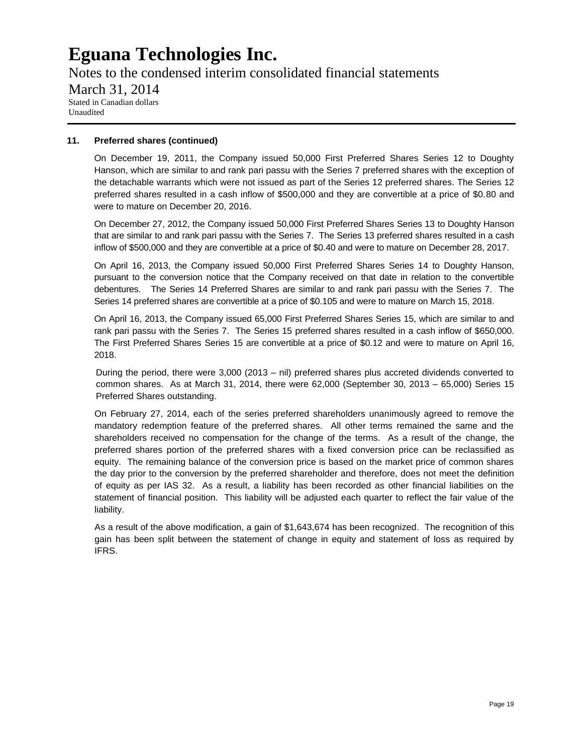Notes to the condensed interim consolidated financial statements March 31, 2014 Stated in Canadian dollars Unaudited

### **11. Preferred shares (continued)**

On December 19, 2011, the Company issued 50,000 First Preferred Shares Series 12 to Doughty Hanson, which are similar to and rank pari passu with the Series 7 preferred shares with the exception of the detachable warrants which were not issued as part of the Series 12 preferred shares. The Series 12 preferred shares resulted in a cash inflow of \$500,000 and they are convertible at a price of \$0.80 and were to mature on December 20, 2016.

On December 27, 2012, the Company issued 50,000 First Preferred Shares Series 13 to Doughty Hanson that are similar to and rank pari passu with the Series 7. The Series 13 preferred shares resulted in a cash inflow of \$500,000 and they are convertible at a price of \$0.40 and were to mature on December 28, 2017.

On April 16, 2013, the Company issued 50,000 First Preferred Shares Series 14 to Doughty Hanson, pursuant to the conversion notice that the Company received on that date in relation to the convertible debentures. The Series 14 Preferred Shares are similar to and rank pari passu with the Series 7. The Series 14 preferred shares are convertible at a price of \$0.105 and were to mature on March 15, 2018.

On April 16, 2013, the Company issued 65,000 First Preferred Shares Series 15, which are similar to and rank pari passu with the Series 7. The Series 15 preferred shares resulted in a cash inflow of \$650,000. The First Preferred Shares Series 15 are convertible at a price of \$0.12 and were to mature on April 16, 2018.

During the period, there were 3,000 (2013 – nil) preferred shares plus accreted dividends converted to common shares. As at March 31, 2014, there were 62,000 (September 30, 2013 – 65,000) Series 15 Preferred Shares outstanding.

On February 27, 2014, each of the series preferred shareholders unanimously agreed to remove the mandatory redemption feature of the preferred shares. All other terms remained the same and the shareholders received no compensation for the change of the terms. As a result of the change, the preferred shares portion of the preferred shares with a fixed conversion price can be reclassified as equity. The remaining balance of the conversion price is based on the market price of common shares the day prior to the conversion by the preferred shareholder and therefore, does not meet the definition of equity as per IAS 32. As a result, a liability has been recorded as other financial liabilities on the statement of financial position. This liability will be adjusted each quarter to reflect the fair value of the liability.

As a result of the above modification, a gain of \$1,643,674 has been recognized. The recognition of this gain has been split between the statement of change in equity and statement of loss as required by IFRS.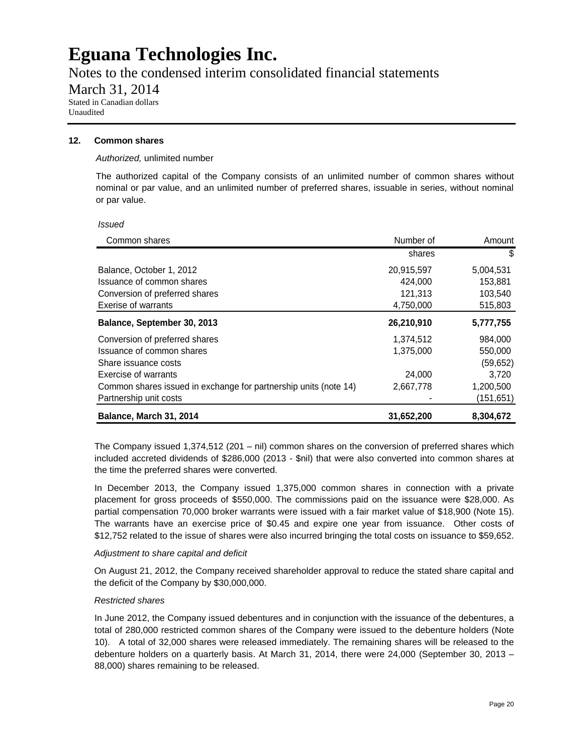Notes to the condensed interim consolidated financial statements

March 31, 2014

Stated in Canadian dollars Unaudited

### **12. Common shares**

### *Authorized,* unlimited number

The authorized capital of the Company consists of an unlimited number of common shares without nominal or par value, and an unlimited number of preferred shares, issuable in series, without nominal or par value.

*Issued* 

| Common shares                                                    | Number of  | Amount     |
|------------------------------------------------------------------|------------|------------|
|                                                                  | shares     | \$         |
| Balance, October 1, 2012                                         | 20,915,597 | 5,004,531  |
| Issuance of common shares                                        | 424,000    | 153,881    |
| Conversion of preferred shares                                   | 121,313    | 103,540    |
| <b>Exerise of warrants</b>                                       | 4,750,000  | 515,803    |
| Balance, September 30, 2013                                      | 26,210,910 | 5,777,755  |
| Conversion of preferred shares                                   | 1,374,512  | 984,000    |
| Issuance of common shares                                        | 1,375,000  | 550,000    |
| Share issuance costs                                             |            | (59, 652)  |
| Exercise of warrants                                             | 24,000     | 3.720      |
| Common shares issued in exchange for partnership units (note 14) | 2,667,778  | 1,200,500  |
| Partnership unit costs                                           |            | (151, 651) |
| Balance, March 31, 2014                                          | 31,652,200 | 8,304,672  |

The Company issued 1,374,512 (201 – nil) common shares on the conversion of preferred shares which included accreted dividends of \$286,000 (2013 - \$nil) that were also converted into common shares at the time the preferred shares were converted.

In December 2013, the Company issued 1,375,000 common shares in connection with a private placement for gross proceeds of \$550,000. The commissions paid on the issuance were \$28,000. As partial compensation 70,000 broker warrants were issued with a fair market value of \$18,900 (Note 15). The warrants have an exercise price of \$0.45 and expire one year from issuance. Other costs of \$12,752 related to the issue of shares were also incurred bringing the total costs on issuance to \$59,652.

### *Adjustment to share capital and deficit*

On August 21, 2012, the Company received shareholder approval to reduce the stated share capital and the deficit of the Company by \$30,000,000.

### *Restricted shares*

In June 2012, the Company issued debentures and in conjunction with the issuance of the debentures, a total of 280,000 restricted common shares of the Company were issued to the debenture holders (Note 10). A total of 32,000 shares were released immediately. The remaining shares will be released to the debenture holders on a quarterly basis. At March 31, 2014, there were 24,000 (September 30, 2013 – 88,000) shares remaining to be released.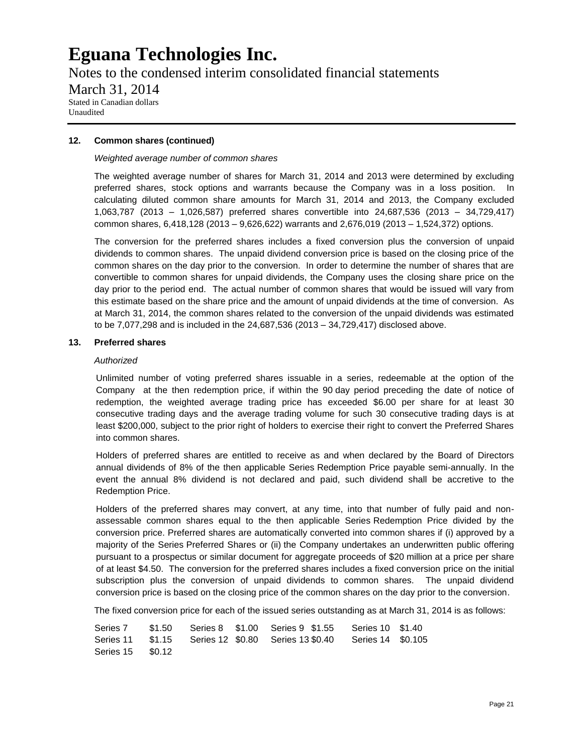Notes to the condensed interim consolidated financial statements March 31, 2014 Stated in Canadian dollars Unaudited

#### **12. Common shares (continued)**

#### *Weighted average number of common shares*

The weighted average number of shares for March 31, 2014 and 2013 were determined by excluding preferred shares, stock options and warrants because the Company was in a loss position. In calculating diluted common share amounts for March 31, 2014 and 2013, the Company excluded 1,063,787 (2013 – 1,026,587) preferred shares convertible into 24,687,536 (2013 – 34,729,417) common shares, 6,418,128 (2013 – 9,626,622) warrants and 2,676,019 (2013 – 1,524,372) options.

The conversion for the preferred shares includes a fixed conversion plus the conversion of unpaid dividends to common shares. The unpaid dividend conversion price is based on the closing price of the common shares on the day prior to the conversion. In order to determine the number of shares that are convertible to common shares for unpaid dividends, the Company uses the closing share price on the day prior to the period end. The actual number of common shares that would be issued will vary from this estimate based on the share price and the amount of unpaid dividends at the time of conversion. As at March 31, 2014, the common shares related to the conversion of the unpaid dividends was estimated to be 7,077,298 and is included in the 24,687,536 (2013 – 34,729,417) disclosed above.

### **13. Preferred shares**

#### *Authorized*

Unlimited number of voting preferred shares issuable in a series, redeemable at the option of the Company at the then redemption price, if within the 90 day period preceding the date of notice of redemption, the weighted average trading price has exceeded \$6.00 per share for at least 30 consecutive trading days and the average trading volume for such 30 consecutive trading days is at least \$200,000, subject to the prior right of holders to exercise their right to convert the Preferred Shares into common shares.

Holders of preferred shares are entitled to receive as and when declared by the Board of Directors annual dividends of 8% of the then applicable Series Redemption Price payable semi-annually. In the event the annual 8% dividend is not declared and paid, such dividend shall be accretive to the Redemption Price.

Holders of the preferred shares may convert, at any time, into that number of fully paid and nonassessable common shares equal to the then applicable Series Redemption Price divided by the conversion price. Preferred shares are automatically converted into common shares if (i) approved by a majority of the Series Preferred Shares or (ii) the Company undertakes an underwritten public offering pursuant to a prospectus or similar document for aggregate proceeds of \$20 million at a price per share of at least \$4.50. The conversion for the preferred shares includes a fixed conversion price on the initial subscription plus the conversion of unpaid dividends to common shares. The unpaid dividend conversion price is based on the closing price of the common shares on the day prior to the conversion.

The fixed conversion price for each of the issued series outstanding as at March 31, 2014 is as follows:

Series 7 \$1.50 Series 8 \$1.00 Series 9 \$1.55 Series 10 \$1.40 Series 11 \$1.15 Series 12 \$0.80 Series 13 \$0.40 Series 14 \$0.105 Series 15 \$0.12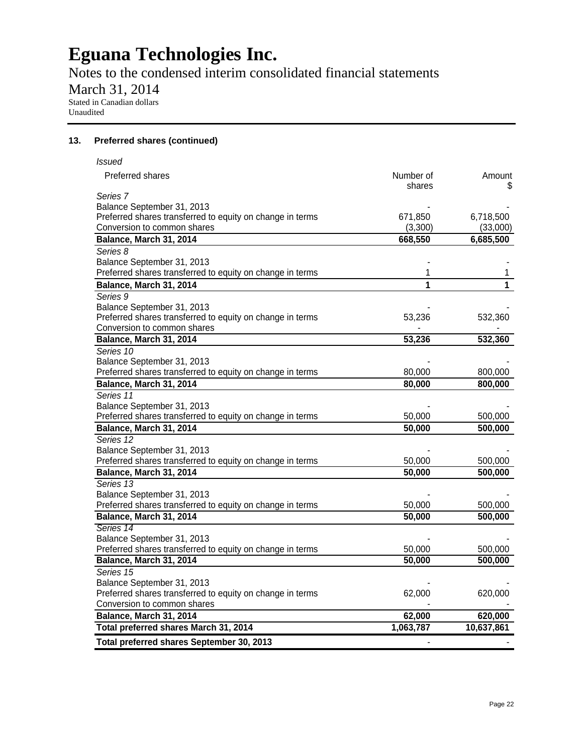Notes to the condensed interim consolidated financial statements

March 31, 2014

Stated in Canadian dollars Unaudited

### **13. Preferred shares (continued)**

| <b>Issued</b>                                             |                     |            |
|-----------------------------------------------------------|---------------------|------------|
| <b>Preferred shares</b>                                   | Number of<br>shares | Amount     |
| Series 7                                                  |                     |            |
| Balance September 31, 2013                                |                     |            |
| Preferred shares transferred to equity on change in terms | 671,850             | 6,718,500  |
| Conversion to common shares                               | (3,300)             | (33,000)   |
| Balance, March 31, 2014                                   | 668,550             | 6,685,500  |
| Series 8                                                  |                     |            |
| Balance September 31, 2013                                |                     |            |
| Preferred shares transferred to equity on change in terms | 1                   | 1          |
| <b>Balance, March 31, 2014</b>                            | 1                   | 1          |
| Series 9                                                  |                     |            |
| Balance September 31, 2013                                |                     |            |
| Preferred shares transferred to equity on change in terms | 53,236              | 532,360    |
| Conversion to common shares                               |                     |            |
| Balance, March 31, 2014                                   | 53,236              | 532,360    |
| Series 10                                                 |                     |            |
| Balance September 31, 2013                                |                     |            |
| Preferred shares transferred to equity on change in terms | 80,000              | 800,000    |
| Balance, March 31, 2014                                   | 80,000              | 800,000    |
| Series 11                                                 |                     |            |
| Balance September 31, 2013                                |                     |            |
| Preferred shares transferred to equity on change in terms | 50,000              | 500,000    |
| Balance, March 31, 2014                                   | 50,000              | 500,000    |
| Series 12                                                 |                     |            |
| Balance September 31, 2013                                |                     |            |
| Preferred shares transferred to equity on change in terms | 50,000              | 500,000    |
| Balance, March 31, 2014                                   | 50,000              | 500,000    |
| Series 13                                                 |                     |            |
| Balance September 31, 2013                                |                     |            |
| Preferred shares transferred to equity on change in terms | 50,000              | 500,000    |
| Balance, March 31, 2014                                   | $\overline{50,000}$ | 500,000    |
| Series 14                                                 |                     |            |
| Balance September 31, 2013                                |                     |            |
| Preferred shares transferred to equity on change in terms | 50,000              | 500,000    |
| Balance, March 31, 2014                                   | 50,000              | 500,000    |
| Series 15                                                 |                     |            |
| Balance September 31, 2013                                |                     |            |
| Preferred shares transferred to equity on change in terms | 62,000              | 620,000    |
| Conversion to common shares                               |                     |            |
| Balance, March 31, 2014                                   | 62,000              | 620,000    |
| Total preferred shares March 31, 2014                     | 1,063,787           | 10,637,861 |
| Total preferred shares September 30, 2013                 |                     |            |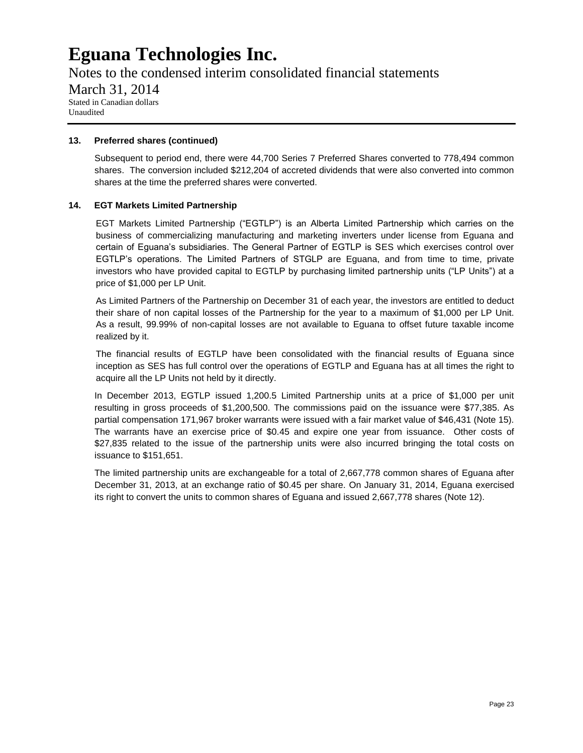Notes to the condensed interim consolidated financial statements March 31, 2014 Stated in Canadian dollars Unaudited

### **13. Preferred shares (continued)**

Subsequent to period end, there were 44,700 Series 7 Preferred Shares converted to 778,494 common shares. The conversion included \$212,204 of accreted dividends that were also converted into common shares at the time the preferred shares were converted.

### **14. EGT Markets Limited Partnership**

EGT Markets Limited Partnership ("EGTLP") is an Alberta Limited Partnership which carries on the business of commercializing manufacturing and marketing inverters under license from Eguana and certain of Eguana's subsidiaries. The General Partner of EGTLP is SES which exercises control over EGTLP's operations. The Limited Partners of STGLP are Eguana, and from time to time, private investors who have provided capital to EGTLP by purchasing limited partnership units ("LP Units") at a price of \$1,000 per LP Unit.

As Limited Partners of the Partnership on December 31 of each year, the investors are entitled to deduct their share of non capital losses of the Partnership for the year to a maximum of \$1,000 per LP Unit. As a result, 99.99% of non-capital losses are not available to Eguana to offset future taxable income realized by it.

The financial results of EGTLP have been consolidated with the financial results of Eguana since inception as SES has full control over the operations of EGTLP and Eguana has at all times the right to acquire all the LP Units not held by it directly.

In December 2013, EGTLP issued 1,200.5 Limited Partnership units at a price of \$1,000 per unit resulting in gross proceeds of \$1,200,500. The commissions paid on the issuance were \$77,385. As partial compensation 171,967 broker warrants were issued with a fair market value of \$46,431 (Note 15). The warrants have an exercise price of \$0.45 and expire one year from issuance. Other costs of \$27,835 related to the issue of the partnership units were also incurred bringing the total costs on issuance to \$151,651.

The limited partnership units are exchangeable for a total of 2,667,778 common shares of Eguana after December 31, 2013, at an exchange ratio of \$0.45 per share. On January 31, 2014, Eguana exercised its right to convert the units to common shares of Eguana and issued 2,667,778 shares (Note 12).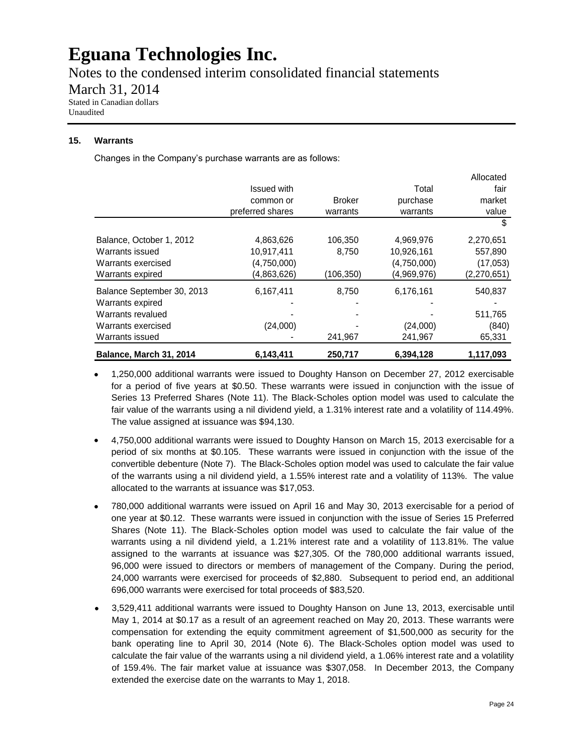Notes to the condensed interim consolidated financial statements

March 31, 2014

Stated in Canadian dollars Unaudited

### **15. Warrants**

Changes in the Company's purchase warrants are as follows:

|                            |                    |               |             | Allocated   |
|----------------------------|--------------------|---------------|-------------|-------------|
|                            | <b>Issued with</b> |               | Total       | fair        |
|                            | common or          | <b>Broker</b> | purchase    | market      |
|                            | preferred shares   | warrants      | warrants    | value       |
|                            |                    |               |             | S           |
| Balance, October 1, 2012   | 4,863,626          | 106,350       | 4,969,976   | 2,270,651   |
| Warrants issued            | 10,917,411         | 8,750         | 10,926,161  | 557,890     |
| Warrants exercised         | (4,750,000)        |               | (4,750,000) | (17,053)    |
| Warrants expired           | (4,863,626)        | (106,350)     | (4,969,976) | (2,270,651) |
| Balance September 30, 2013 | 6,167,411          | 8,750         | 6,176,161   | 540,837     |
| Warrants expired           |                    |               |             |             |
| Warrants revalued          |                    |               |             | 511,765     |
| Warrants exercised         | (24,000)           |               | (24,000)    | (840)       |
| Warrants issued            |                    | 241,967       | 241,967     | 65,331      |
| Balance, March 31, 2014    | 6,143,411          | 250,717       | 6,394,128   | 1,117,093   |

- 1,250,000 additional warrants were issued to Doughty Hanson on December 27, 2012 exercisable for a period of five years at \$0.50. These warrants were issued in conjunction with the issue of Series 13 Preferred Shares (Note 11). The Black-Scholes option model was used to calculate the fair value of the warrants using a nil dividend yield, a 1.31% interest rate and a volatility of 114.49%. The value assigned at issuance was \$94,130.
- 4,750,000 additional warrants were issued to Doughty Hanson on March 15, 2013 exercisable for a period of six months at \$0.105. These warrants were issued in conjunction with the issue of the convertible debenture (Note 7). The Black-Scholes option model was used to calculate the fair value of the warrants using a nil dividend yield, a 1.55% interest rate and a volatility of 113%. The value allocated to the warrants at issuance was \$17,053.
- 780,000 additional warrants were issued on April 16 and May 30, 2013 exercisable for a period of one year at \$0.12. These warrants were issued in conjunction with the issue of Series 15 Preferred Shares (Note 11). The Black-Scholes option model was used to calculate the fair value of the warrants using a nil dividend yield, a 1.21% interest rate and a volatility of 113.81%. The value assigned to the warrants at issuance was \$27,305. Of the 780,000 additional warrants issued, 96,000 were issued to directors or members of management of the Company. During the period, 24,000 warrants were exercised for proceeds of \$2,880. Subsequent to period end, an additional 696,000 warrants were exercised for total proceeds of \$83,520.
- 3,529,411 additional warrants were issued to Doughty Hanson on June 13, 2013, exercisable until May 1, 2014 at \$0.17 as a result of an agreement reached on May 20, 2013. These warrants were compensation for extending the equity commitment agreement of \$1,500,000 as security for the bank operating line to April 30, 2014 (Note 6). The Black-Scholes option model was used to calculate the fair value of the warrants using a nil dividend yield, a 1.06% interest rate and a volatility of 159.4%. The fair market value at issuance was \$307,058. In December 2013, the Company extended the exercise date on the warrants to May 1, 2018.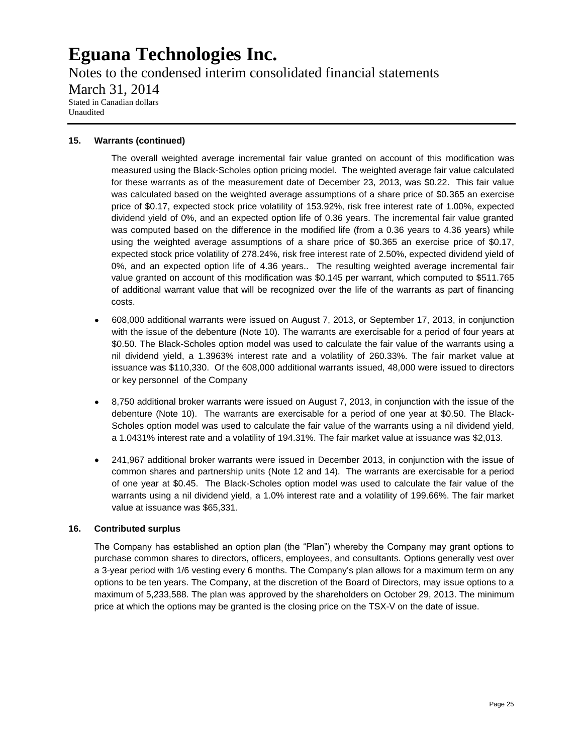Notes to the condensed interim consolidated financial statements March 31, 2014 Stated in Canadian dollars Unaudited

### **15. Warrants (continued)**

The overall weighted average incremental fair value granted on account of this modification was measured using the Black-Scholes option pricing model. The weighted average fair value calculated for these warrants as of the measurement date of December 23, 2013, was \$0.22. This fair value was calculated based on the weighted average assumptions of a share price of \$0.365 an exercise price of \$0.17, expected stock price volatility of 153.92%, risk free interest rate of 1.00%, expected dividend yield of 0%, and an expected option life of 0.36 years. The incremental fair value granted was computed based on the difference in the modified life (from a 0.36 years to 4.36 years) while using the weighted average assumptions of a share price of \$0.365 an exercise price of \$0.17, expected stock price volatility of 278.24%, risk free interest rate of 2.50%, expected dividend yield of 0%, and an expected option life of 4.36 years.. The resulting weighted average incremental fair value granted on account of this modification was \$0.145 per warrant, which computed to \$511.765 of additional warrant value that will be recognized over the life of the warrants as part of financing costs.

- 608,000 additional warrants were issued on August 7, 2013, or September 17, 2013, in conjunction with the issue of the debenture (Note 10). The warrants are exercisable for a period of four years at \$0.50. The Black-Scholes option model was used to calculate the fair value of the warrants using a nil dividend yield, a 1.3963% interest rate and a volatility of 260.33%. The fair market value at issuance was \$110,330. Of the 608,000 additional warrants issued, 48,000 were issued to directors or key personnel of the Company
- 8,750 additional broker warrants were issued on August 7, 2013, in conjunction with the issue of the debenture (Note 10). The warrants are exercisable for a period of one year at \$0.50. The Black-Scholes option model was used to calculate the fair value of the warrants using a nil dividend yield, a 1.0431% interest rate and a volatility of 194.31%. The fair market value at issuance was \$2,013.
- 241,967 additional broker warrants were issued in December 2013, in conjunction with the issue of common shares and partnership units (Note 12 and 14). The warrants are exercisable for a period of one year at \$0.45. The Black-Scholes option model was used to calculate the fair value of the warrants using a nil dividend yield, a 1.0% interest rate and a volatility of 199.66%. The fair market value at issuance was \$65,331.

#### **16. Contributed surplus**

The Company has established an option plan (the "Plan") whereby the Company may grant options to purchase common shares to directors, officers, employees, and consultants. Options generally vest over a 3-year period with 1/6 vesting every 6 months. The Company's plan allows for a maximum term on any options to be ten years. The Company, at the discretion of the Board of Directors, may issue options to a maximum of 5,233,588. The plan was approved by the shareholders on October 29, 2013. The minimum price at which the options may be granted is the closing price on the TSX-V on the date of issue.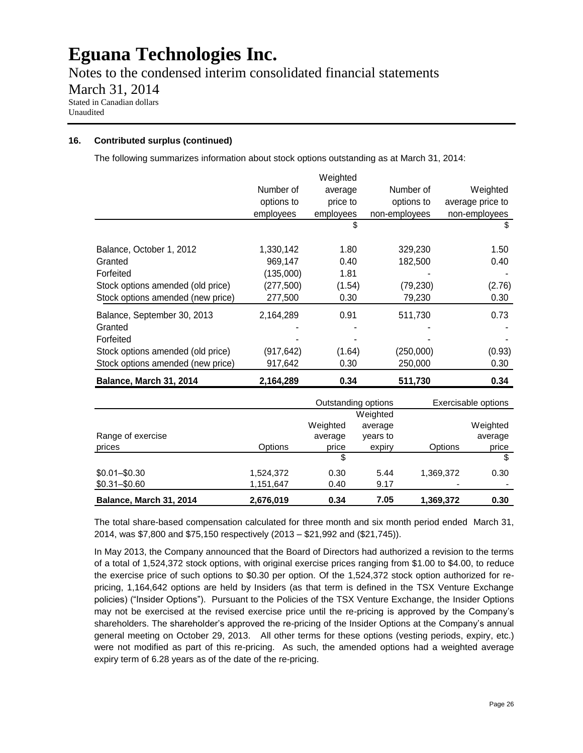Notes to the condensed interim consolidated financial statements March 31, 2014 Stated in Canadian dollars Unaudited

### **16. Contributed surplus (continued)**

The following summarizes information about stock options outstanding as at March 31, 2014:

|                                   |            | Weighted  |               |                  |
|-----------------------------------|------------|-----------|---------------|------------------|
|                                   | Number of  | average   | Number of     | Weighted         |
|                                   | options to | price to  | options to    | average price to |
|                                   | employees  | employees | non-employees | non-employees    |
|                                   |            | \$        |               | \$               |
| Balance, October 1, 2012          | 1,330,142  | 1.80      | 329,230       | 1.50             |
| Granted                           | 969,147    | 0.40      | 182,500       | 0.40             |
| Forfeited                         | (135,000)  | 1.81      |               |                  |
| Stock options amended (old price) | (277, 500) | (1.54)    | (79, 230)     | (2.76)           |
| Stock options amended (new price) | 277,500    | 0.30      | 79,230        | 0.30             |
| Balance, September 30, 2013       | 2,164,289  | 0.91      | 511,730       | 0.73             |
| Granted                           |            |           |               |                  |
| Forfeited                         |            |           |               |                  |
| Stock options amended (old price) | (917,642)  | (1.64)    | (250,000)     | (0.93)           |
| Stock options amended (new price) | 917,642    | 0.30      | 250,000       | 0.30             |
| Balance, March 31, 2014           | 2,164,289  | 0.34      | 511,730       | 0.34             |

|                         |           | Outstanding options |          |           | Exercisable options |
|-------------------------|-----------|---------------------|----------|-----------|---------------------|
|                         |           |                     | Weighted |           |                     |
|                         |           | Weighted            | average  |           | Weighted            |
| Range of exercise       |           | average             | years to |           | average             |
| prices                  | Options   | price               | expiry   | Options   | price               |
|                         |           | \$                  |          |           |                     |
| $$0.01 - $0.30$         | 1,524,372 | 0.30                | 5.44     | 1.369.372 | 0.30                |
| $$0.31 - $0.60$         | 1,151,647 | 0.40                | 9.17     | ۰         |                     |
| Balance, March 31, 2014 | 2,676,019 | 0.34                | 7.05     | 1,369,372 | 0.30                |

The total share-based compensation calculated for three month and six month period ended March 31, 2014, was \$7,800 and \$75,150 respectively (2013 – \$21,992 and (\$21,745)).

In May 2013, the Company announced that the Board of Directors had authorized a revision to the terms of a total of 1,524,372 stock options, with original exercise prices ranging from \$1.00 to \$4.00, to reduce the exercise price of such options to \$0.30 per option. Of the 1,524,372 stock option authorized for repricing, 1,164,642 options are held by Insiders (as that term is defined in the TSX Venture Exchange policies) ("Insider Options"). Pursuant to the Policies of the TSX Venture Exchange, the Insider Options may not be exercised at the revised exercise price until the re-pricing is approved by the Company's shareholders. The shareholder's approved the re-pricing of the Insider Options at the Company's annual general meeting on October 29, 2013. All other terms for these options (vesting periods, expiry, etc.) were not modified as part of this re-pricing. As such, the amended options had a weighted average expiry term of 6.28 years as of the date of the re-pricing.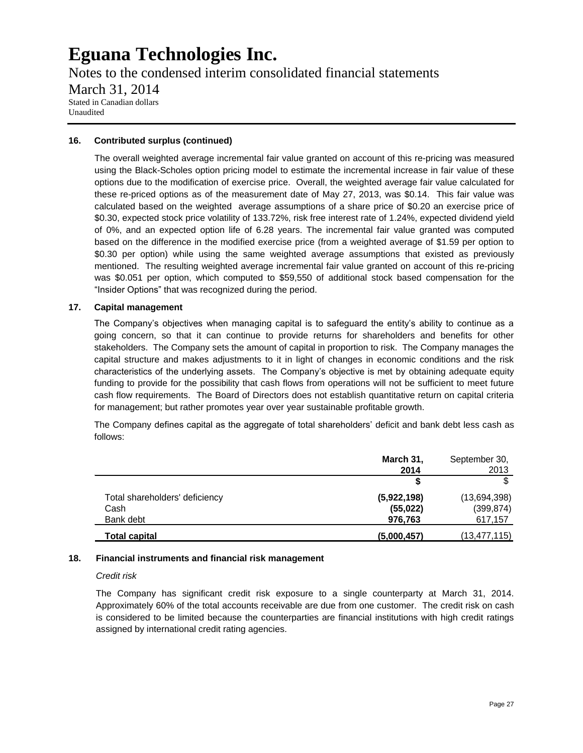Notes to the condensed interim consolidated financial statements March 31, 2014 Stated in Canadian dollars Unaudited

### **16. Contributed surplus (continued)**

The overall weighted average incremental fair value granted on account of this re-pricing was measured using the Black-Scholes option pricing model to estimate the incremental increase in fair value of these options due to the modification of exercise price. Overall, the weighted average fair value calculated for these re-priced options as of the measurement date of May 27, 2013, was \$0.14. This fair value was calculated based on the weighted average assumptions of a share price of \$0.20 an exercise price of \$0.30, expected stock price volatility of 133.72%, risk free interest rate of 1.24%, expected dividend yield of 0%, and an expected option life of 6.28 years. The incremental fair value granted was computed based on the difference in the modified exercise price (from a weighted average of \$1.59 per option to \$0.30 per option) while using the same weighted average assumptions that existed as previously mentioned. The resulting weighted average incremental fair value granted on account of this re-pricing was \$0.051 per option, which computed to \$59,550 of additional stock based compensation for the "Insider Options" that was recognized during the period.

### **17. Capital management**

The Company's objectives when managing capital is to safeguard the entity's ability to continue as a going concern, so that it can continue to provide returns for shareholders and benefits for other stakeholders. The Company sets the amount of capital in proportion to risk. The Company manages the capital structure and makes adjustments to it in light of changes in economic conditions and the risk characteristics of the underlying assets. The Company's objective is met by obtaining adequate equity funding to provide for the possibility that cash flows from operations will not be sufficient to meet future cash flow requirements. The Board of Directors does not establish quantitative return on capital criteria for management; but rather promotes year over year sustainable profitable growth.

The Company defines capital as the aggregate of total shareholders' deficit and bank debt less cash as follows:

|                                | March 31,   | September 30, |
|--------------------------------|-------------|---------------|
|                                | 2014        | 2013          |
|                                |             |               |
| Total shareholders' deficiency | (5,922,198) | (13,694,398)  |
| Cash                           | (55, 022)   | (399, 874)    |
| Bank debt                      | 976,763     | 617,157       |
| Total capital                  | (5,000,457) | (13,477,115)  |

#### **18. Financial instruments and financial risk management**

#### *Credit risk*

The Company has significant credit risk exposure to a single counterparty at March 31, 2014. Approximately 60% of the total accounts receivable are due from one customer. The credit risk on cash is considered to be limited because the counterparties are financial institutions with high credit ratings assigned by international credit rating agencies.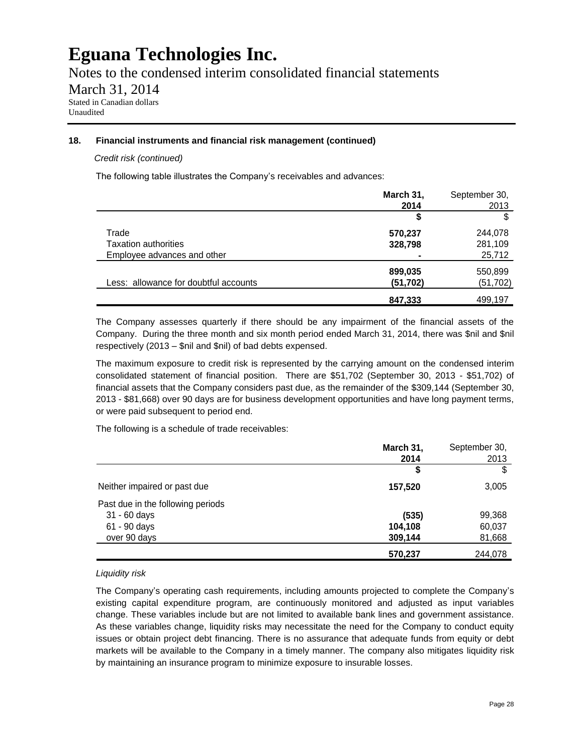Notes to the condensed interim consolidated financial statements

March 31, 2014

Stated in Canadian dollars Unaudited

# **18. Financial instruments and financial risk management (continued)**

### *Credit risk (continued)*

The following table illustrates the Company's receivables and advances:

|                                       | March 31,            | September 30,        |
|---------------------------------------|----------------------|----------------------|
|                                       | 2014                 | 2013                 |
|                                       | \$                   | S                    |
| Trade                                 | 570,237              | 244,078              |
| Taxation authorities                  | 328,798              | 281,109              |
| Employee advances and other           |                      | 25,712               |
| Less: allowance for doubtful accounts | 899,035<br>(51, 702) | 550,899<br>(51, 702) |
|                                       |                      |                      |
|                                       | 847,333              | 499,197              |

The Company assesses quarterly if there should be any impairment of the financial assets of the Company. During the three month and six month period ended March 31, 2014, there was \$nil and \$nil respectively (2013 – \$nil and \$nil) of bad debts expensed.

The maximum exposure to credit risk is represented by the carrying amount on the condensed interim consolidated statement of financial position. There are \$51,702 (September 30, 2013 - \$51,702) of financial assets that the Company considers past due, as the remainder of the \$309,144 (September 30, 2013 - \$81,668) over 90 days are for business development opportunities and have long payment terms, or were paid subsequent to period end.

The following is a schedule of trade receivables:

|                                   | March 31, | September 30, |
|-----------------------------------|-----------|---------------|
|                                   | 2014      | 2013          |
|                                   | \$        |               |
| Neither impaired or past due      | 157,520   | 3,005         |
| Past due in the following periods |           |               |
| 31 - 60 days                      | (535)     | 99,368        |
| 61 - 90 days                      | 104,108   | 60,037        |
| over 90 days                      | 309,144   | 81,668        |
|                                   | 570,237   | 244,078       |

### *Liquidity risk*

The Company's operating cash requirements, including amounts projected to complete the Company's existing capital expenditure program, are continuously monitored and adjusted as input variables change. These variables include but are not limited to available bank lines and government assistance. As these variables change, liquidity risks may necessitate the need for the Company to conduct equity issues or obtain project debt financing. There is no assurance that adequate funds from equity or debt markets will be available to the Company in a timely manner. The company also mitigates liquidity risk by maintaining an insurance program to minimize exposure to insurable losses.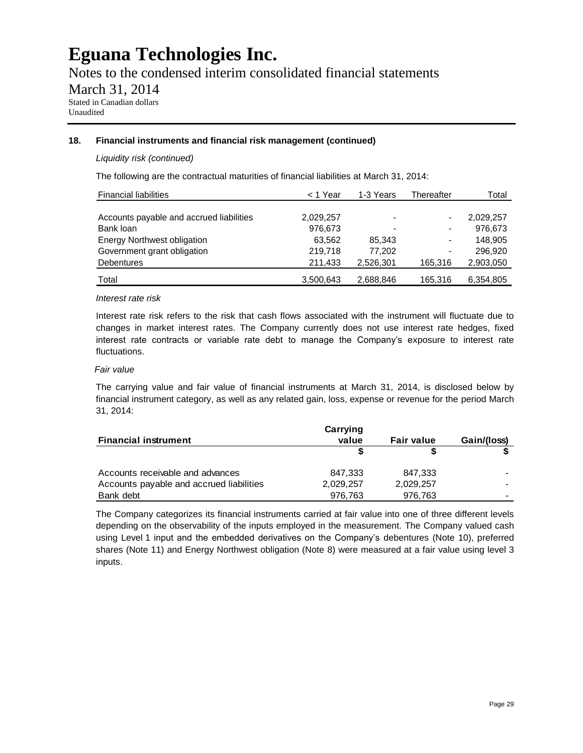Notes to the condensed interim consolidated financial statements

March 31, 2014

Stated in Canadian dollars Unaudited

### **18. Financial instruments and financial risk management (continued)**

### *Liquidity risk (continued)*

The following are the contractual maturities of financial liabilities at March 31, 2014:

| <b>Financial liabilities</b>             | < 1 Year  | 1-3 Years | Thereafter                   | Total     |
|------------------------------------------|-----------|-----------|------------------------------|-----------|
|                                          |           |           |                              |           |
| Accounts payable and accrued liabilities | 2,029,257 | -         | $\qquad \qquad \blacksquare$ | 2,029,257 |
| Bank loan                                | 976,673   |           | $\blacksquare$               | 976,673   |
| <b>Energy Northwest obligation</b>       | 63,562    | 85,343    | $\blacksquare$               | 148,905   |
| Government grant obligation              | 219,718   | 77.202    | $\blacksquare$               | 296.920   |
| <b>Debentures</b>                        | 211,433   | 2,526,301 | 165.316                      | 2,903,050 |
| Total                                    | 3,500,643 | 2,688,846 | 165,316                      | 6,354,805 |

### *Interest rate risk*

Interest rate risk refers to the risk that cash flows associated with the instrument will fluctuate due to changes in market interest rates. The Company currently does not use interest rate hedges, fixed interest rate contracts or variable rate debt to manage the Company's exposure to interest rate fluctuations.

### *Fair value*

The carrying value and fair value of financial instruments at March 31, 2014, is disclosed below by financial instrument category, as well as any related gain, loss, expense or revenue for the period March 31, 2014:

|                                          | Carrying  |                   |             |
|------------------------------------------|-----------|-------------------|-------------|
| <b>Financial instrument</b>              | value     | <b>Fair value</b> | Gain/(loss) |
|                                          |           |                   |             |
| Accounts receivable and advances         | 847.333   | 847,333           |             |
| Accounts payable and accrued liabilities | 2,029,257 | 2,029,257         |             |
| Bank debt                                | 976.763   | 976,763           | -           |

The Company categorizes its financial instruments carried at fair value into one of three different levels depending on the observability of the inputs employed in the measurement. The Company valued cash using Level 1 input and the embedded derivatives on the Company's debentures (Note 10), preferred shares (Note 11) and Energy Northwest obligation (Note 8) were measured at a fair value using level 3 inputs.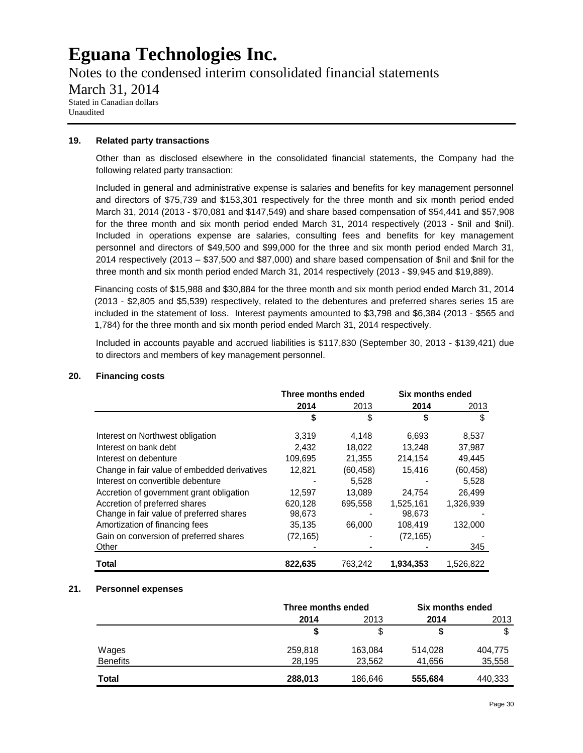Notes to the condensed interim consolidated financial statements March 31, 2014 Stated in Canadian dollars Unaudited

### **19. Related party transactions**

Other than as disclosed elsewhere in the consolidated financial statements, the Company had the following related party transaction:

Included in general and administrative expense is salaries and benefits for key management personnel and directors of \$75,739 and \$153,301 respectively for the three month and six month period ended March 31, 2014 (2013 - \$70,081 and \$147,549) and share based compensation of \$54,441 and \$57,908 for the three month and six month period ended March 31, 2014 respectively (2013 - \$nil and \$nil). Included in operations expense are salaries, consulting fees and benefits for key management personnel and directors of \$49,500 and \$99,000 for the three and six month period ended March 31, 2014 respectively (2013 – \$37,500 and \$87,000) and share based compensation of \$nil and \$nil for the three month and six month period ended March 31, 2014 respectively (2013 - \$9,945 and \$19,889).

Financing costs of \$15,988 and \$30,884 for the three month and six month period ended March 31, 2014 (2013 - \$2,805 and \$5,539) respectively, related to the debentures and preferred shares series 15 are included in the statement of loss. Interest payments amounted to \$3,798 and \$6,384 (2013 - \$565 and 1,784) for the three month and six month period ended March 31, 2014 respectively.

Included in accounts payable and accrued liabilities is \$117,830 (September 30, 2013 - \$139,421) due to directors and members of key management personnel.

|                                              | Three months ended |           | Six months ended |           |
|----------------------------------------------|--------------------|-----------|------------------|-----------|
|                                              | 2014               | 2013      | 2014             | 2013      |
|                                              | \$                 | \$        | \$               | \$        |
| Interest on Northwest obligation             | 3,319              | 4.148     | 6.693            | 8,537     |
| Interest on bank debt                        | 2,432              | 18,022    | 13,248           | 37,987    |
| Interest on debenture                        | 109,695            | 21,355    | 214,154          | 49,445    |
| Change in fair value of embedded derivatives | 12,821             | (60, 458) | 15,416           | (60, 458) |
| Interest on convertible debenture            |                    | 5.528     |                  | 5.528     |
| Accretion of government grant obligation     | 12,597             | 13.089    | 24.754           | 26.499    |
| Accretion of preferred shares                | 620.128            | 695.558   | 1,525,161        | 1.326.939 |
| Change in fair value of preferred shares     | 98,673             |           | 98,673           |           |
| Amortization of financing fees               | 35,135             | 66,000    | 108,419          | 132,000   |
| Gain on conversion of preferred shares       | (72, 165)          |           | (72, 165)        |           |
| Other                                        |                    |           |                  | 345       |
| Total                                        | 822,635            | 763,242   | 1.934.353        | 1,526,822 |

# **20. Financing costs**

### **21. Personnel expenses**

|                 |         | Three months ended |         | Six months ended |  |
|-----------------|---------|--------------------|---------|------------------|--|
|                 | 2014    | 2013               | 2014    | 2013             |  |
|                 |         | S                  |         |                  |  |
| Wages           | 259,818 | 163,084            | 514,028 | 404,775          |  |
| <b>Benefits</b> | 28,195  | 23,562             | 41.656  | 35,558           |  |
| Total           | 288,013 | 186,646            | 555,684 | 440,333          |  |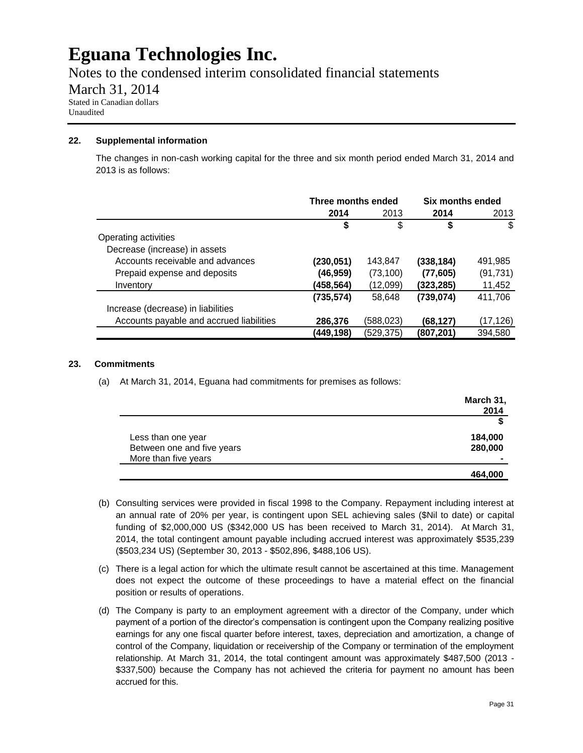Notes to the condensed interim consolidated financial statements

March 31, 2014

Stated in Canadian dollars Unaudited

### **22. Supplemental information**

The changes in non-cash working capital for the three and six month period ended March 31, 2014 and 2013 is as follows:

|                                          | Three months ended |            | Six months ended |           |
|------------------------------------------|--------------------|------------|------------------|-----------|
|                                          | 2014               | 2013       | 2014             | 2013      |
|                                          | \$                 | \$         | \$               | \$        |
| Operating activities                     |                    |            |                  |           |
| Decrease (increase) in assets            |                    |            |                  |           |
| Accounts receivable and advances         | (230, 051)         | 143,847    | (338,184)        | 491,985   |
| Prepaid expense and deposits             | (46,959)           | (73, 100)  | (77, 605)        | (91, 731) |
| Inventory                                | (458,564)          | (12,099)   | (323,285)        | 11,452    |
|                                          | (735, 574)         | 58,648     | (739, 074)       | 411,706   |
| Increase (decrease) in liabilities       |                    |            |                  |           |
| Accounts payable and accrued liabilities | 286,376            | (588, 023) | (68.127)         | (17,126)  |
|                                          | (449,198)          | (529, 375) | (807,201)        | 394,580   |

### **23. Commitments**

(a) At March 31, 2014, Eguana had commitments for premises as follows:

|                            | March 31, |
|----------------------------|-----------|
|                            | 2014      |
|                            |           |
| Less than one year         | 184,000   |
| Between one and five years | 280,000   |
| More than five years       |           |
|                            | 464,000   |

- (b) Consulting services were provided in fiscal 1998 to the Company. Repayment including interest at an annual rate of 20% per year, is contingent upon SEL achieving sales (\$Nil to date) or capital funding of \$2,000,000 US (\$342,000 US has been received to March 31, 2014). At March 31, 2014, the total contingent amount payable including accrued interest was approximately \$535,239 (\$503,234 US) (September 30, 2013 - \$502,896, \$488,106 US).
- (c) There is a legal action for which the ultimate result cannot be ascertained at this time. Management does not expect the outcome of these proceedings to have a material effect on the financial position or results of operations.
- (d) The Company is party to an employment agreement with a director of the Company, under which payment of a portion of the director's compensation is contingent upon the Company realizing positive earnings for any one fiscal quarter before interest, taxes, depreciation and amortization, a change of control of the Company, liquidation or receivership of the Company or termination of the employment relationship. At March 31, 2014, the total contingent amount was approximately \$487,500 (2013 - \$337,500) because the Company has not achieved the criteria for payment no amount has been accrued for this.